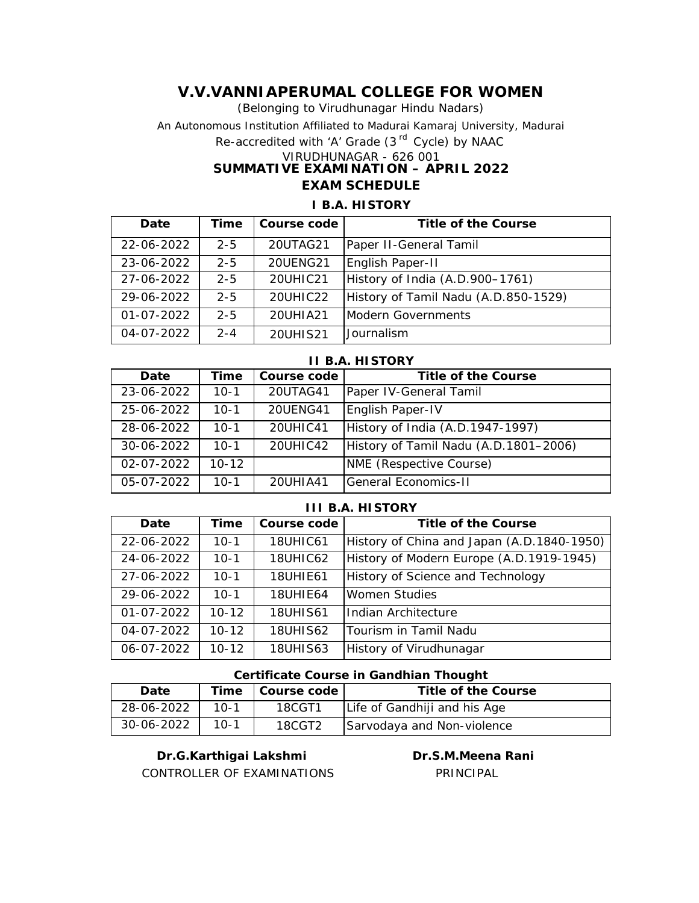(Belonging to Virudhunagar Hindu Nadars) An Autonomous Institution Affiliated to Madurai Kamaraj University, Madurai *Re-accredited with 'A' Grade (3 rd Cycle) by NAAC* VIRUDHUNAGAR - 626 001 **SUMMATIVE EXAMINATION – APRIL 2022 EXAM SCHEDULE**

# **Date Time** Course code **Title of the Course** 22-06-2022 | 2-5 | 20UTAG21 | Paper II-General Tamil 23-06-2022 2-5 20UENG21 English Paper-II 27-06-2022 2-5 20UHIC21 History of India (A.D.900–1761) 29-06-2022 2-5 20UHIC22 History of Tamil Nadu (A.D.850-1529) 01-07-2022 2-5 20UHIA21 Modern Governments 04-07-2022 2-4 20UHIS21 Journalism

#### **I B.A. HISTORY**

| II B.A. HISTORY  |           |             |                                       |  |
|------------------|-----------|-------------|---------------------------------------|--|
| Date             | Time      | Course code | Title of the Course                   |  |
| 23-06-2022       | $10-1$    | 20UTAG41    | Paper IV-General Tamil                |  |
| 25-06-2022       | $10-1$    | 20UENG41    | English Paper-IV                      |  |
| 28-06-2022       | $10-1$    | 20UHIC41    | History of India (A.D.1947-1997)      |  |
| 30-06-2022       | $10 - 1$  | 20UHIC42    | History of Tamil Nadu (A.D.1801-2006) |  |
| $02 - 07 - 2022$ | $10 - 12$ |             | NME (Respective Course)               |  |
| 05-07-2022       | $10-1$    | 20UHIA41    | lGeneral Economics-II                 |  |

#### **III B.A. HISTORY**

| Date       | Time      | Course code     | Title of the Course                        |
|------------|-----------|-----------------|--------------------------------------------|
| 22-06-2022 | $10-1$    | <b>18UHIC61</b> | History of China and Japan (A.D.1840-1950) |
| 24-06-2022 | $10-1$    | <b>18UHIC62</b> | History of Modern Europe (A.D.1919-1945)   |
| 27-06-2022 | $10 - 1$  | <b>18UHIE61</b> | History of Science and Technology          |
| 29-06-2022 | $10 - 1$  | <b>18UHIE64</b> | <b>Women Studies</b>                       |
| 01-07-2022 | $10 - 12$ | <b>18UHIS61</b> | Indian Architecture                        |
| 04-07-2022 | $10 - 12$ | <b>18UHIS62</b> | Tourism in Tamil Nadu                      |
| 06-07-2022 | $10 - 12$ | <b>18UHIS63</b> | History of Virudhunagar                    |

#### **Certificate Course in Gandhian Thought**

| Date       |        | Time   Course code | Title of the Course          |
|------------|--------|--------------------|------------------------------|
| 28-06-2022 | $10-1$ | 18CGT1             | Life of Gandhiji and his Age |
| 30-06-2022 | $10-1$ | 18CGT2             | Sarvodaya and Non-violence   |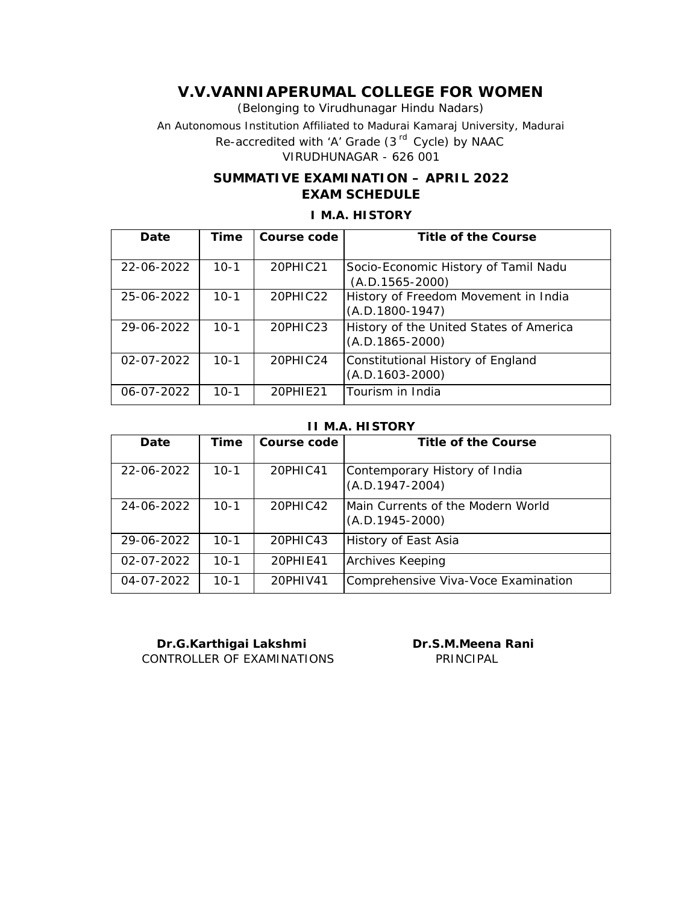(Belonging to Virudhunagar Hindu Nadars) An Autonomous Institution Affiliated to Madurai Kamaraj University, Madurai *Re-accredited with 'A' Grade (3 rd Cycle) by NAAC* VIRUDHUNAGAR - 626 001

## **SUMMATIVE EXAMINATION – APRIL 2022 EXAM SCHEDULE**

# **Date Time Course code Title of the Course** 22-06-2022 | 10-1 | 20PHIC21 | Socio-Economic History of Tamil Nadu (A.D.1565-2000) 25-06-2022 10-1 20PHIC22 History of Freedom Movement in India (A.D.1800-1947) 29-06-2022 10-1 20PHIC23 History of the United States of America (A.D.1865-2000) 02-07-2022 10-1 20PHIC24 Constitutional History of England (A.D.1603-2000) 06-07-2022 10-1 20PHIE21 Tourism in India

## **I M.A. HISTORY**

#### **II M.A. HISTORY**

| Date             | Time     | Course code | Title of the Course                                               |
|------------------|----------|-------------|-------------------------------------------------------------------|
| 22-06-2022       | $10-1$   | 20PHIC41    | Contemporary History of India<br>$(A.D.1947-2004)$                |
| 24-06-2022       | $10 - 1$ | 20PHIC42    | <b>IMain Currents of the Modern World</b><br>$(A.D. 1945 - 2000)$ |
| 29-06-2022       | $10 - 1$ | 20PHIC43    | History of East Asia                                              |
| $02 - 07 - 2022$ | $10 - 1$ | 20PHIE41    | <b>Archives Keeping</b>                                           |
| 04-07-2022       | $10 - 1$ | 20PHIV41    | Comprehensive Viva-Voce Examination                               |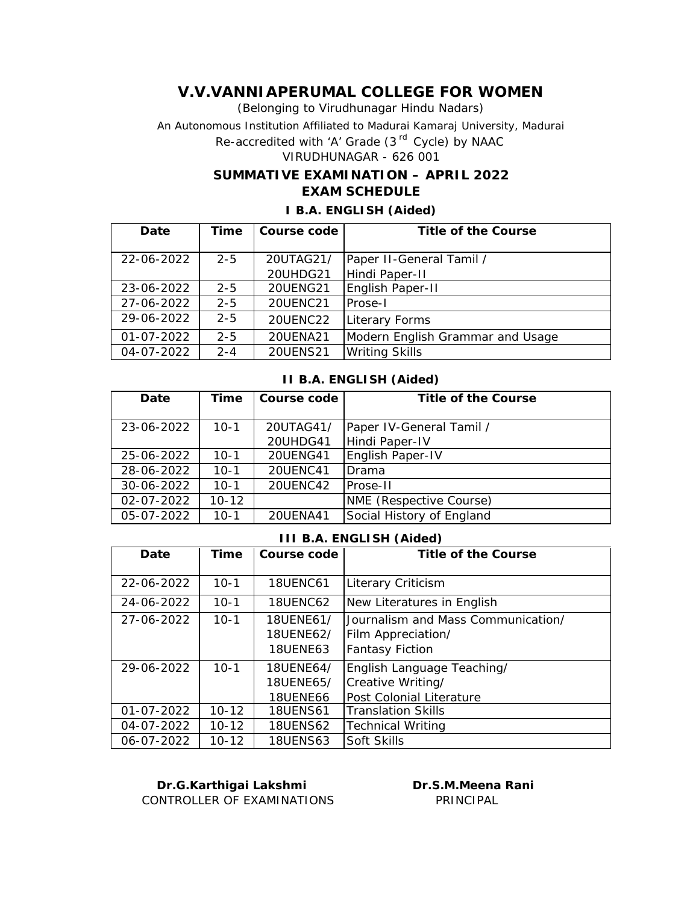(Belonging to Virudhunagar Hindu Nadars)

An Autonomous Institution Affiliated to Madurai Kamaraj University, Madurai

*Re-accredited with 'A' Grade (3 rd Cycle) by NAAC*

## VIRUDHUNAGAR - 626 001

### **SUMMATIVE EXAMINATION – APRIL 2022 EXAM SCHEDULE**

### **I B.A. ENGLISH (Aided)**

| Date       | Time    | Course code     | Title of the Course              |
|------------|---------|-----------------|----------------------------------|
|            |         |                 |                                  |
| 22-06-2022 | $2 - 5$ | 20UTAG21/       | Paper II-General Tamil /         |
|            |         | 20UHDG21        | Hindi Paper-II                   |
| 23-06-2022 | $2 - 5$ | <b>20UENG21</b> | English Paper-II                 |
| 27-06-2022 | $2 - 5$ | 20UENC21        | Prose-I                          |
| 29-06-2022 | $2 - 5$ | 20UENC22        | Literary Forms                   |
| 01-07-2022 | $2 - 5$ | 20UENA21        | Modern English Grammar and Usage |
| 04-07-2022 | $2 - 4$ | <b>20UENS21</b> | <b>Writing Skills</b>            |

#### **II B.A. ENGLISH (Aided)**

| Date       | Time      | Course code     | Title of the Course       |
|------------|-----------|-----------------|---------------------------|
|            |           |                 |                           |
| 23-06-2022 | $10-1$    | 20UTAG41/       | Paper IV-General Tamil /  |
|            |           | 20UHDG41        | Hindi Paper-IV            |
| 25-06-2022 | 10-1      | <b>20UENG41</b> | English Paper-IV          |
| 28-06-2022 | $10 - 1$  | 20UENC41        | Drama                     |
| 30-06-2022 | $10 - 1$  | 20UENC42        | Prose-II                  |
| 02-07-2022 | $10 - 12$ |                 | NME (Respective Course)   |
| 05-07-2022 | $10-1$    | 20UENA41        | Social History of England |

#### **III B.A. ENGLISH (Aided)**

| Date       | Time      | Course code     | Title of the Course                |
|------------|-----------|-----------------|------------------------------------|
| 22-06-2022 | $10-1$    | 18UENC61        | Literary Criticism                 |
| 24-06-2022 | $10-1$    | <b>18UENC62</b> | New Literatures in English         |
| 27-06-2022 | $10 - 1$  | 18UENE61/       | Journalism and Mass Communication/ |
|            |           | 18UENE62/       | Film Appreciation/                 |
|            |           | <b>18UENE63</b> | <b>Fantasy Fiction</b>             |
| 29-06-2022 | $10 - 1$  | 18UENE64/       | English Language Teaching/         |
|            |           | 18UENE65/       | Creative Writing/                  |
|            |           | <b>18UENE66</b> | Post Colonial Literature           |
| 01-07-2022 | $10 - 12$ | <b>18UENS61</b> | <b>Translation Skills</b>          |
| 04-07-2022 | $10 - 12$ | <b>18UENS62</b> | <b>Technical Writing</b>           |
| 06-07-2022 | $10 - 12$ | <b>18UENS63</b> | Soft Skills                        |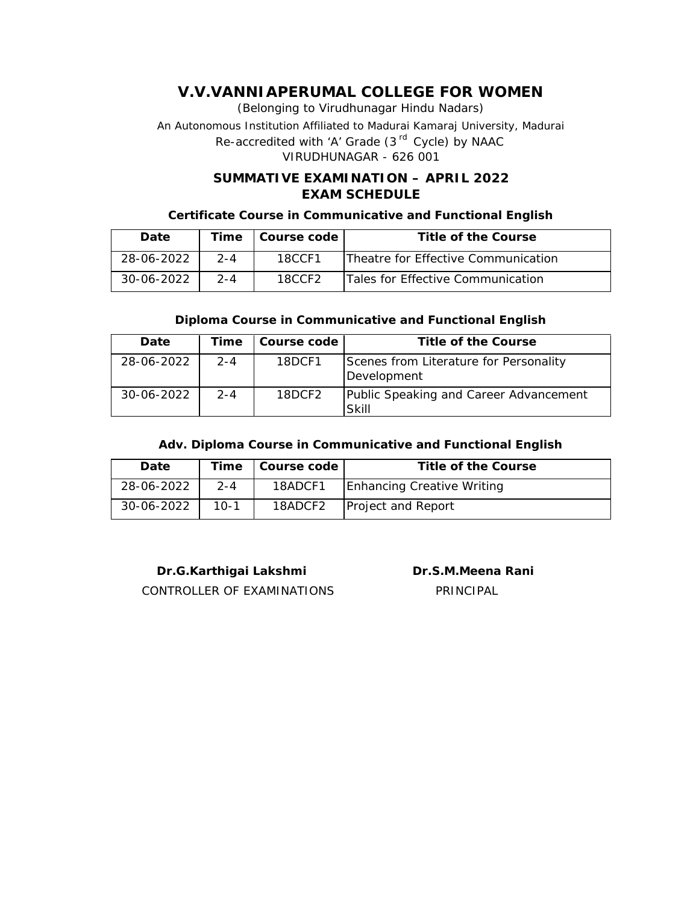(Belonging to Virudhunagar Hindu Nadars) An Autonomous Institution Affiliated to Madurai Kamaraj University, Madurai *Re-accredited with 'A' Grade (3 rd Cycle) by NAAC* VIRUDHUNAGAR - 626 001

## **SUMMATIVE EXAMINATION – APRIL 2022 EXAM SCHEDULE**

#### **Certificate Course in Communicative and Functional English**

| Date             |         | Time   Course code | Title of the Course                 |
|------------------|---------|--------------------|-------------------------------------|
| 28-06-2022       | $2 - 4$ | 18CCF1             | Theatre for Effective Communication |
| $30 - 06 - 2022$ | $2 - 4$ | 18CCF2             | Tales for Effective Communication   |

### **Diploma Course in Communicative and Functional English**

| Date       | Time    | Course code | Title of the Course                                   |
|------------|---------|-------------|-------------------------------------------------------|
| 28-06-2022 | $2 - 4$ | 18DCF1      | Scenes from Literature for Personality<br>Development |
| 30-06-2022 | $2 - 4$ | 18DCF2      | Public Speaking and Career Advancement<br>Skill       |

### **Adv. Diploma Course in Communicative and Functional English**

| Date       |         | Time   Course code | Title of the Course        |
|------------|---------|--------------------|----------------------------|
| 28-06-2022 | $2 - 4$ | 18ADCF1            | Enhancing Creative Writing |
| 30-06-2022 | $10-1$  | 18ADCF2            | Project and Report         |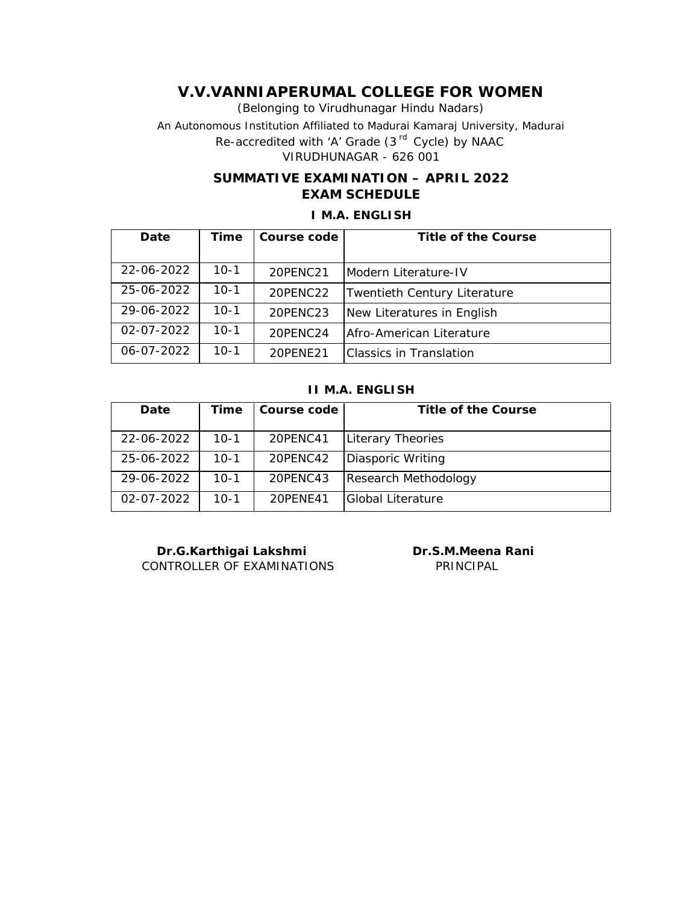(Belonging to Virudhunagar Hindu Nadars) An Autonomous Institution Affiliated to Madurai Kamaraj University, Madurai *Re-accredited with 'A' Grade (3 rd Cycle) by NAAC* VIRUDHUNAGAR - 626 001

## **SUMMATIVE EXAMINATION – APRIL 2022 EXAM SCHEDULE**

## **I M.A. ENGLISH**

| Date             | Time     | Course code | Title of the Course          |
|------------------|----------|-------------|------------------------------|
|                  |          |             |                              |
| 22-06-2022       | $10-1$   | 20PENC21    | Modern Literature-IV         |
| 25-06-2022       | $10-1$   | 20PENC22    | Twentieth Century Literature |
| 29-06-2022       | $10-1$   | 20PENC23    | New Literatures in English   |
| $02 - 07 - 2022$ | $10 - 1$ | 20PENC24    | Afro-American Literature     |
| 06-07-2022       | $10-1$   | 20PENE21    | lClassics in Translation     |

## **II M.A. ENGLISH**

| Date             | Time   | Course code | Title of the Course  |
|------------------|--------|-------------|----------------------|
| 22-06-2022       | $10-1$ | 20PENC41    | Literary Theories    |
| 25-06-2022       | $10-1$ | 20PENC42    | Diasporic Writing    |
| 29-06-2022       | $10-1$ | 20PENC43    | Research Methodology |
| $02 - 07 - 2022$ | $10-1$ | 20PFNF41    | Global Literature    |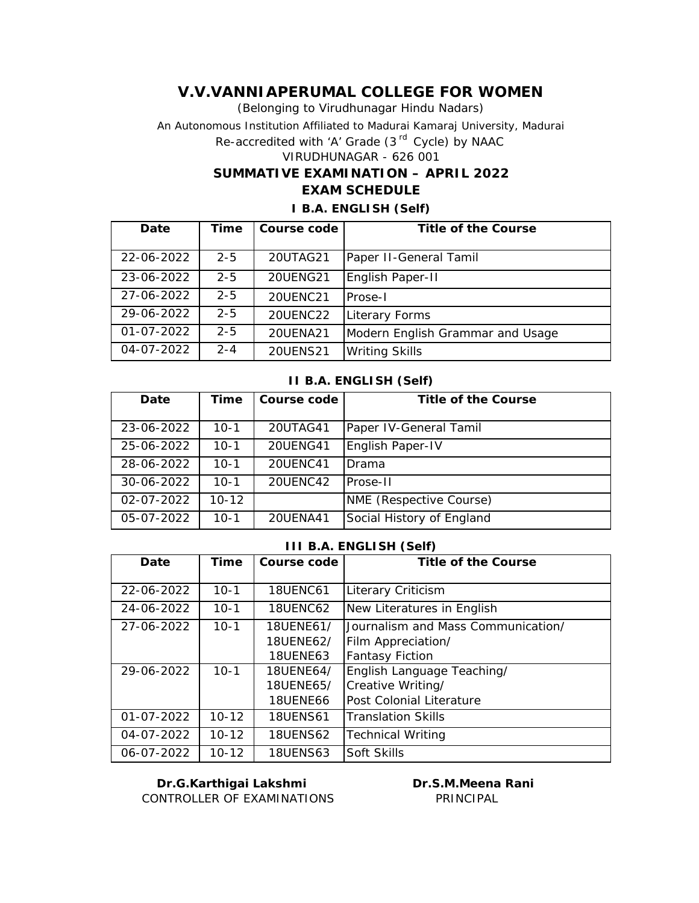(Belonging to Virudhunagar Hindu Nadars) An Autonomous Institution Affiliated to Madurai Kamaraj University, Madurai *Re-accredited with 'A' Grade (3 rd Cycle) by NAAC* VIRUDHUNAGAR - 626 001 **SUMMATIVE EXAMINATION – APRIL 2022 EXAM SCHEDULE**

# **I B.A. ENGLISH (Self)**

| Date       | Time    | Course code     | Title of the Course              |
|------------|---------|-----------------|----------------------------------|
|            |         |                 |                                  |
|            |         |                 |                                  |
| 22-06-2022 | $2 - 5$ | 20UTAG21        | Paper II-General Tamil           |
|            |         |                 |                                  |
| 23-06-2022 | $2 - 5$ | <b>20UENG21</b> | English Paper-II                 |
|            |         |                 |                                  |
| 27-06-2022 | $2 - 5$ | 20UENC21        | IProse-I                         |
|            |         |                 |                                  |
| 29-06-2022 | $2 - 5$ | 20UENC22        | Literary Forms                   |
|            |         |                 |                                  |
| 01-07-2022 | $2 - 5$ | 20UENA21        | Modern English Grammar and Usage |
|            |         |                 |                                  |
| 04-07-2022 | $2 - 4$ | <b>20UENS21</b> | <b>Writing Skills</b>            |
|            |         |                 |                                  |

#### **II B.A. ENGLISH (Self)**

| Date             | Time      | Course code | Title of the Course       |
|------------------|-----------|-------------|---------------------------|
|                  |           |             |                           |
| 23-06-2022       | $10-1$    | 20UTAG41    | Paper IV-General Tamil    |
| 25-06-2022       | $10 - 1$  | 20UENG41    | English Paper-IV          |
| 28-06-2022       | $10 - 1$  | 20UENC41    | Drama                     |
| 30-06-2022       | $10-1$    | 20UENC42    | lProse-II                 |
| $02 - 07 - 2022$ | $10 - 12$ |             | NME (Respective Course)   |
| 05-07-2022       | $10-1$    | 20UENA41    | Social History of England |

#### **III B.A. ENGLISH (Self)**

| Date       | Time      | Course code     | Title of the Course                |
|------------|-----------|-----------------|------------------------------------|
|            |           |                 |                                    |
| 22-06-2022 | $10-1$    | <b>18UENC61</b> | <b>Literary Criticism</b>          |
| 24-06-2022 | $10-1$    | <b>18UENC62</b> | New Literatures in English         |
|            |           |                 |                                    |
| 27-06-2022 | $10 - 1$  | 18UENE61/       | Journalism and Mass Communication/ |
|            |           | 18UENE62/       | Film Appreciation/                 |
|            |           | <b>18UENE63</b> | Fantasy Fiction                    |
| 29-06-2022 | $10-1$    | 18UENE64/       | English Language Teaching/         |
|            |           | 18UENE65/       | Creative Writing/                  |
|            |           | 18UENE66        | Post Colonial Literature           |
| 01-07-2022 | $10 - 12$ | <b>18UENS61</b> | <b>Translation Skills</b>          |
| 04-07-2022 | $10 - 12$ | <b>18UENS62</b> | <b>Technical Writing</b>           |
| 06-07-2022 | $10 - 12$ | <b>18UENS63</b> | Soft Skills                        |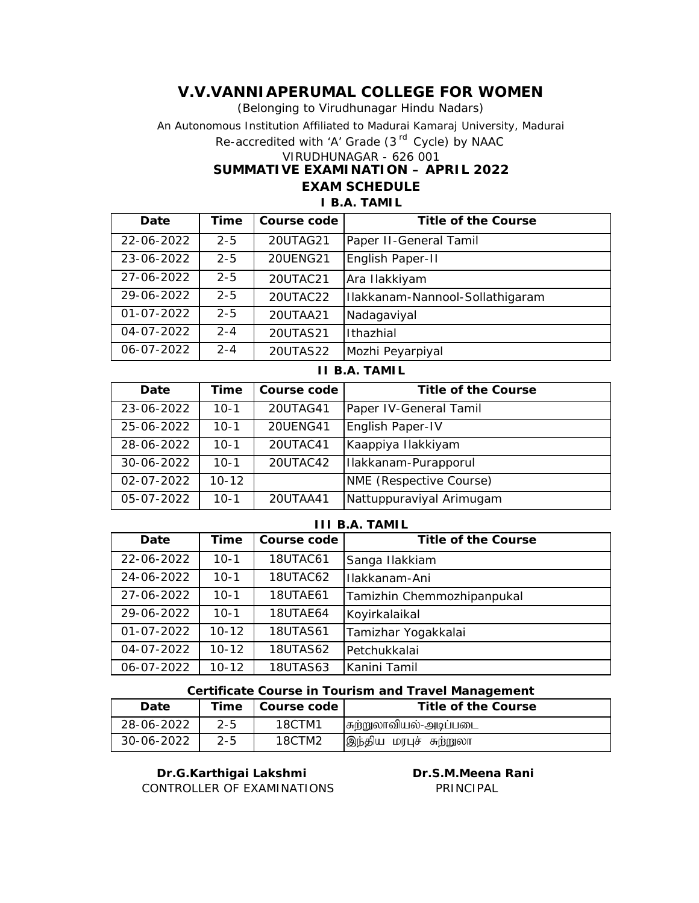(Belonging to Virudhunagar Hindu Nadars)

An Autonomous Institution Affiliated to Madurai Kamaraj University, Madurai

*Re-accredited with 'A' Grade (3 rd Cycle) by NAAC*

VIRUDHUNAGAR - 626 001

**SUMMATIVE EXAMINATION – APRIL 2022**

**EXAM SCHEDULE**

### **I B.A. TAMIL**

| Date             | Time    | Course code | Title of the Course             |
|------------------|---------|-------------|---------------------------------|
| 22-06-2022       | $2 - 5$ | 20UTAG21    | Paper II-General Tamil          |
| 23-06-2022       | $2 - 5$ | 20UENG21    | English Paper-II                |
| 27-06-2022       | $2 - 5$ | 20UTAC21    | Ara Ilakkiyam                   |
| 29-06-2022       | $2 - 5$ | 20UTAC22    | Ilakkanam-Nannool-Sollathigaram |
| $01 - 07 - 2022$ | $2 - 5$ | 20UTAA21    | Nadagaviyal                     |
| 04-07-2022       | $2 - 4$ | 20UTAS21    | Ithazhial                       |
| 06-07-2022       | $2 - 4$ | 20UTAS22    | Mozhi Peyarpiyal                |

| Date       | Time      | Course code     | Title of the Course      |
|------------|-----------|-----------------|--------------------------|
| 23-06-2022 | $10-1$    | 20UTAG41        | Paper IV-General Tamil   |
| 25-06-2022 | $10 - 1$  | <b>20UENG41</b> | English Paper-IV         |
| 28-06-2022 | $10 - 1$  | 20UTAC41        | Kaappiya Ilakkiyam       |
| 30-06-2022 | $10 - 1$  | 20UTAC42        | Ilakkanam-Purapporul     |
| 02-07-2022 | $10 - 12$ |                 | NME (Respective Course)  |
| 05-07-2022 | $10 - 1$  | 20UTAA41        | Nattuppuraviyal Arimugam |

**II B.A. TAMIL**

#### **III B.A. TAMIL**

| Date             | Time      | Course code     | Title of the Course        |
|------------------|-----------|-----------------|----------------------------|
| 22-06-2022       | $10-1$    | 18UTAC61        | Sanga Ilakkiam             |
| 24-06-2022       | $10-1$    | 18UTAC62        | Ilakkanam-Ani              |
| 27-06-2022       | $10 - 1$  | <b>18UTAE61</b> | Tamizhin Chemmozhipanpukal |
| 29-06-2022       | $10 - 1$  | 18UTAE64        | Koyirkalaikal              |
| $01 - 07 - 2022$ | $10 - 12$ | <b>18UTAS61</b> | Tamizhar Yogakkalai        |
| 04-07-2022       | $10 - 12$ | <b>18UTAS62</b> | Petchukkalai               |
| 06-07-2022       | $10 - 12$ | <b>18UTAS63</b> | Kanini Tamil               |

#### **Certificate Course in Tourism and Travel Management**

| Date       |         | Time   Course code | Title of the Course    |
|------------|---------|--------------------|------------------------|
| 28-06-2022 | $2 - 5$ | 18CTM1             | சுற்றுலாவியல்-அடிப்படை |
| 30-06-2022 | $2 - 5$ | 18CTM2             | இந்திய மரபுச் சுற்றுலா |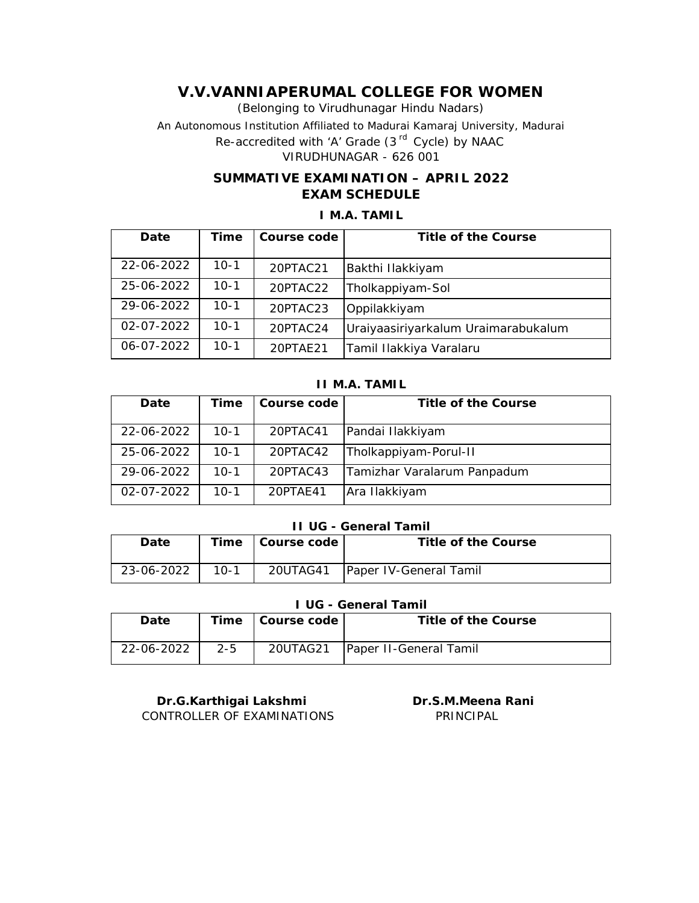(Belonging to Virudhunagar Hindu Nadars) An Autonomous Institution Affiliated to Madurai Kamaraj University, Madurai *Re-accredited with 'A' Grade (3 rd Cycle) by NAAC* VIRUDHUNAGAR - 626 001

## **SUMMATIVE EXAMINATION – APRIL 2022 EXAM SCHEDULE**

## **I M.A. TAMIL**

| Date             | Time   | Course code | Title of the Course                 |
|------------------|--------|-------------|-------------------------------------|
| 22-06-2022       | 10-1   | 20PTAC21    | Bakthi Ilakkiyam                    |
| 25-06-2022       | 10-1   | 20PTAC22    | Tholkappiyam-Sol                    |
| 29-06-2022       | 10-1   | 20PTAC23    | Oppilakkiyam                        |
| $02 - 07 - 2022$ | $10-1$ | 20PTAC24    | Uraiyaasiriyarkalum Uraimarabukalum |
| 06-07-2022       | $10-1$ | 20PTAE21    | Tamil Ilakkiya Varalaru             |

#### **II M.A. TAMIL**

| Date             | Time     | Course code | Title of the Course         |
|------------------|----------|-------------|-----------------------------|
| 22-06-2022       | $10-1$   | 20PTAC41    | Pandai Ilakkiyam            |
| 25-06-2022       | $10-1$   | 20PTAC42    | Tholkappiyam-Porul-II       |
| 29-06-2022       | $10-1$   | 20PTAC43    | Tamizhar Varalarum Panpadum |
| $02 - 07 - 2022$ | $10 - 1$ | 20PTAE41    | Ara Ilakkiyam               |

#### **II UG - General Tamil**

| Date       |        | Time   Course code | Title of the Course           |
|------------|--------|--------------------|-------------------------------|
| 23-06-2022 | $10-1$ | 20UTAG41           | <b>Paper IV-General Tamil</b> |

### **I UG - General Tamil**

| Date       |         | Time   Course code | Title of the Course               |
|------------|---------|--------------------|-----------------------------------|
| 22-06-2022 | $2 - 5$ |                    | 20UTAG21   Paper II-General Tamil |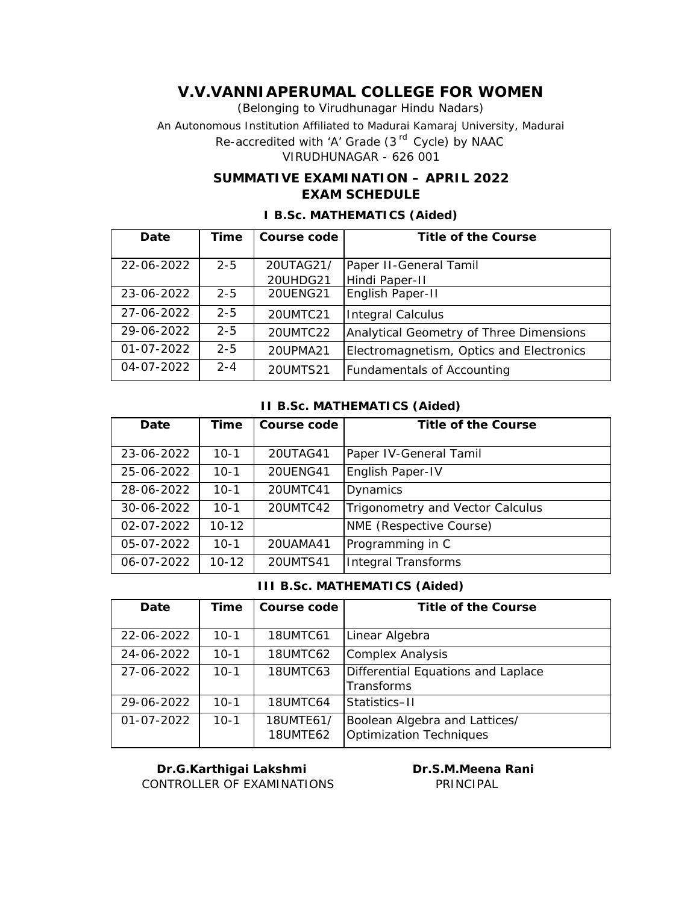(Belonging to Virudhunagar Hindu Nadars) An Autonomous Institution Affiliated to Madurai Kamaraj University, Madurai *Re-accredited with 'A' Grade (3 rd Cycle) by NAAC*

VIRUDHUNAGAR - 626 001

## **SUMMATIVE EXAMINATION – APRIL 2022 EXAM SCHEDULE**

| Date             | Time    | Course code           | Title of the Course                      |
|------------------|---------|-----------------------|------------------------------------------|
| 22-06-2022       | $2 - 5$ | 20UTAG21/<br>20UHDG21 | Paper II-General Tamil<br>Hindi Paper-II |
| 23-06-2022       | $2 - 5$ | <b>20UENG21</b>       | English Paper-II                         |
| 27-06-2022       | $2 - 5$ | 20UMTC21              | <b>Integral Calculus</b>                 |
| 29-06-2022       | $2 - 5$ | 20UMTC22              | Analytical Geometry of Three Dimensions  |
| $01 - 07 - 2022$ | $2 - 5$ | 20UPMA21              | Electromagnetism, Optics and Electronics |
| 04-07-2022       | $2 - 4$ | 20UMTS21              | <b>Fundamentals of Accounting</b>        |

### **I B.Sc. MATHEMATICS (Aided)**

#### **II B.Sc. MATHEMATICS (Aided)**

| Date       | Time      | Course code     | Title of the Course              |
|------------|-----------|-----------------|----------------------------------|
|            |           |                 |                                  |
|            |           |                 |                                  |
| 23-06-2022 | $10-1$    | 20UTAG41        | Paper IV-General Tamil           |
| 25-06-2022 | $10 - 1$  | <b>20UENG41</b> | English Paper-IV                 |
| 28-06-2022 | $10 - 1$  | 20UMTC41        | Dynamics                         |
| 30-06-2022 | $10 - 1$  | 20UMTC42        | Trigonometry and Vector Calculus |
| 02-07-2022 | $10 - 12$ |                 | NME (Respective Course)          |
| 05-07-2022 | $10 - 1$  | 20UAMA41        | Programming in C                 |
| 06-07-2022 | $10 - 12$ | 20UMTS41        | <b>Integral Transforms</b>       |

#### **III B.Sc. MATHEMATICS (Aided)**

| Date             | Time     | Course code                  | Title of the Course                                             |
|------------------|----------|------------------------------|-----------------------------------------------------------------|
| 22-06-2022       | $10-1$   | 18UMTC61                     | Linear Algebra                                                  |
| 24-06-2022       | $10 - 1$ | 18UMTC62                     | Complex Analysis                                                |
| 27-06-2022       | $10-1$   | 18UMTC63                     | Differential Equations and Laplace<br>Transforms                |
| 29-06-2022       | $10 - 1$ | 18UMTC64                     | Statistics-II                                                   |
| $01 - 07 - 2022$ | $10-1$   | 18UMTE61/<br><b>18UMTE62</b> | Boolean Algebra and Lattices/<br><b>Optimization Techniques</b> |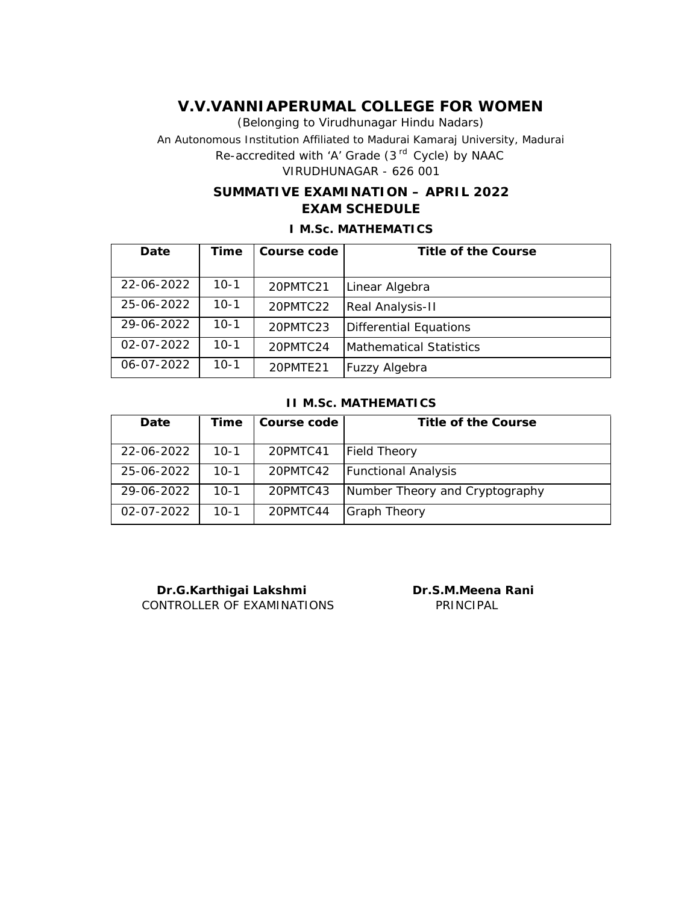(Belonging to Virudhunagar Hindu Nadars) An Autonomous Institution Affiliated to Madurai Kamaraj University, Madurai *Re-accredited with 'A' Grade (3 rd Cycle) by NAAC* VIRUDHUNAGAR - 626 001

## **SUMMATIVE EXAMINATION – APRIL 2022 EXAM SCHEDULE**

### **I M.Sc. MATHEMATICS**

| Date             | Time   | Course code | Title of the Course     |
|------------------|--------|-------------|-------------------------|
|                  |        |             |                         |
| 22-06-2022       | 10-1   | 20PMTC21    | Linear Algebra          |
| 25-06-2022       | $10-1$ | 20PMTC22    | <b>Real Analysis-II</b> |
| 29-06-2022       | $10-1$ | 20PMTC23    | Differential Equations  |
| $02 - 07 - 2022$ | $10-1$ | 20PMTC24    | Mathematical Statistics |
| 06-07-2022       | 10-1   | 20PMTE21    | Fuzzy Algebra           |

### **II M.Sc. MATHEMATICS**

| Date       | Time   | Course code | Title of the Course            |
|------------|--------|-------------|--------------------------------|
| 22-06-2022 | $10-1$ | 20PMTC41    | <b>Field Theory</b>            |
| 25-06-2022 | $10-1$ | 20PMTC42    | <b>Functional Analysis</b>     |
| 29-06-2022 | 10-1   | 20PMTC43    | Number Theory and Cryptography |
| 02-07-2022 | 10-1   | 20PMTC44    | <b>Graph Theory</b>            |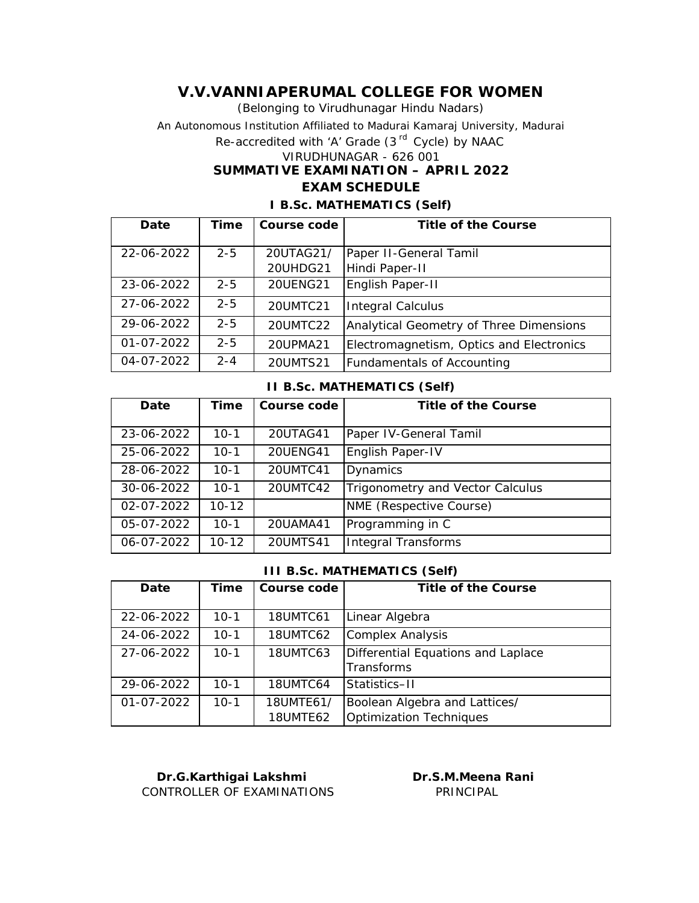(Belonging to Virudhunagar Hindu Nadars) An Autonomous Institution Affiliated to Madurai Kamaraj University, Madurai *Re-accredited with 'A' Grade (3 rd Cycle) by NAAC* VIRUDHUNAGAR - 626 001 **SUMMATIVE EXAMINATION – APRIL 2022 EXAM SCHEDULE**

| Date             | Time    | Course code           | Title of the Course                      |
|------------------|---------|-----------------------|------------------------------------------|
| 22-06-2022       | $2 - 5$ | 20UTAG21/<br>20UHDG21 | Paper II-General Tamil<br>Hindi Paper-II |
| 23-06-2022       | $2 - 5$ | 20UENG21              | English Paper-II                         |
| 27-06-2022       | $2 - 5$ | 20UMTC21              | <b>Integral Calculus</b>                 |
| 29-06-2022       | $2 - 5$ | 20UMTC22              | Analytical Geometry of Three Dimensions  |
| $01 - 07 - 2022$ | $2 - 5$ | 20UPMA21              | Electromagnetism, Optics and Electronics |
| 04-07-2022       | $2 - 4$ | 20UMTS21              | Fundamentals of Accounting               |

#### **I B.Sc. MATHEMATICS (Self)**

#### **II B.Sc. MATHEMATICS (Self)**

| Date             | Time      | Course code | Title of the Course              |
|------------------|-----------|-------------|----------------------------------|
| 23-06-2022       | $10 - 1$  | 20UTAG41    | Paper IV-General Tamil           |
| 25-06-2022       | $10 - 1$  | 20UENG41    | English Paper-IV                 |
| 28-06-2022       | $10 - 1$  | 20UMTC41    | Dynamics                         |
| 30-06-2022       | $10 - 1$  | 20UMTC42    | Trigonometry and Vector Calculus |
| $02 - 07 - 2022$ | $10 - 12$ |             | NME (Respective Course)          |
| 05-07-2022       | $10 - 1$  | 20UAMA41    | Programming in C                 |
| 06-07-2022       | $10 - 12$ | 20UMTS41    | <b>Integral Transforms</b>       |

#### **III B.Sc. MATHEMATICS (Self)**

| Date             | Time     | Course code                  | Title of the Course                                      |
|------------------|----------|------------------------------|----------------------------------------------------------|
| 22-06-2022       | $10-1$   | 18UMTC61                     | Linear Algebra                                           |
| 24-06-2022       | $10 - 1$ | 18UMTC62                     | Complex Analysis                                         |
| 27-06-2022       | $10-1$   | <b>18UMTC63</b>              | Differential Equations and Laplace<br>Transforms         |
| 29-06-2022       | $10 - 1$ | 18UMTC64                     | Statistics-II                                            |
| $01 - 07 - 2022$ | $10 - 1$ | 18UMTE61/<br><b>18UMTE62</b> | Boolean Algebra and Lattices/<br>Optimization Techniques |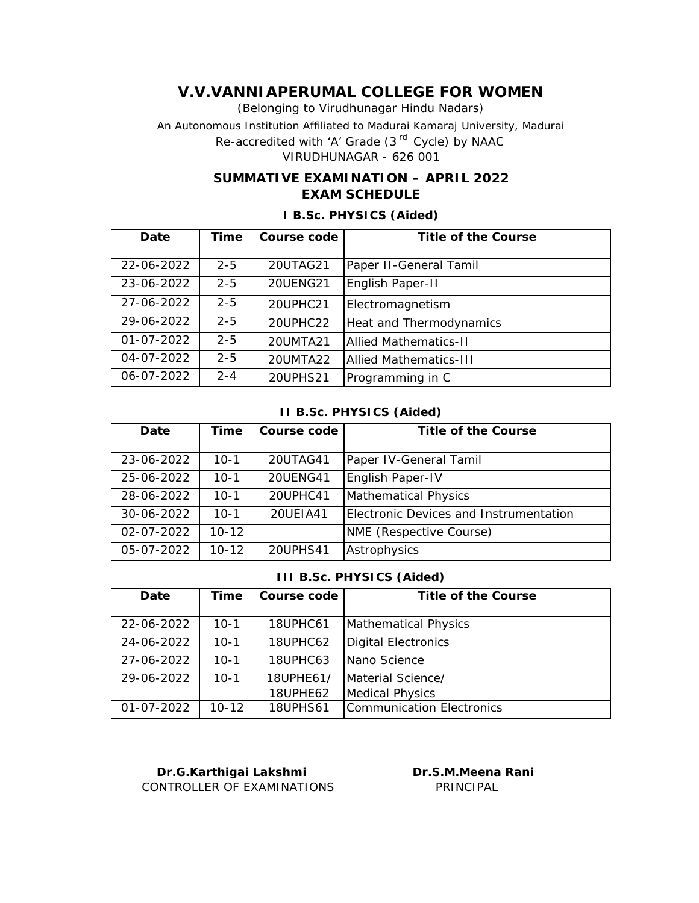(Belonging to Virudhunagar Hindu Nadars) An Autonomous Institution Affiliated to Madurai Kamaraj University, Madurai *Re-accredited with 'A' Grade (3 rd Cycle) by NAAC* VIRUDHUNAGAR - 626 001

## **SUMMATIVE EXAMINATION – APRIL 2022 EXAM SCHEDULE**

| Date             | Time    | Course code | Title of the Course           |
|------------------|---------|-------------|-------------------------------|
|                  |         |             |                               |
|                  |         |             |                               |
| 22-06-2022       | $2 - 5$ | 20UTAG21    | Paper II-General Tamil        |
|                  |         |             |                               |
| 23-06-2022       | $2 - 5$ | 20UENG21    | English Paper-II              |
|                  |         |             |                               |
| 27-06-2022       | $2 - 5$ | 20UPHC21    | Electromagnetism              |
|                  |         |             |                               |
| 29-06-2022       | $2 - 5$ | 20UPHC22    | Heat and Thermodynamics       |
|                  |         |             |                               |
| $01 - 07 - 2022$ | $2 - 5$ | 20UMTA21    | <b>Allied Mathematics-II</b>  |
|                  |         |             |                               |
| 04-07-2022       | $2 - 5$ | 20UMTA22    | <b>Allied Mathematics-III</b> |
|                  |         |             |                               |
| 06-07-2022       | $2 - 4$ | 20UPHS21    | Programming in C              |
|                  |         |             |                               |

### **I B.Sc. PHYSICS (Aided)**

#### **II B.Sc. PHYSICS (Aided)**

| Date             | Time      | Course code     | Title of the Course                    |
|------------------|-----------|-----------------|----------------------------------------|
| 23-06-2022       | $10 - 1$  | 20UTAG41        | Paper IV-General Tamil                 |
| 25-06-2022       | $10 - 1$  | <b>20UENG41</b> | English Paper-IV                       |
| 28-06-2022       | $10 - 1$  | 20UPHC41        | Mathematical Physics                   |
| 30-06-2022       | $10 - 1$  | 20UEIA41        | Electronic Devices and Instrumentation |
| $02 - 07 - 2022$ | $10 - 12$ |                 | NME (Respective Course)                |
| 05-07-2022       | $10 - 12$ | 20UPHS41        | Astrophysics                           |

#### **III B.Sc. PHYSICS (Aided)**

| Date             | Time      | Course code     | Title of the Course       |
|------------------|-----------|-----------------|---------------------------|
| 22-06-2022       | $10-1$    | 18UPHC61        | Mathematical Physics      |
| 24-06-2022       | 10-1      | 18UPHC62        | Digital Electronics       |
| 27-06-2022       | $10-1$    | 18UPHC63        | Nano Science              |
| 29-06-2022       | $10 - 1$  | 18UPHE61/       | Material Science/         |
|                  |           | 18UPHE62        | <b>Medical Physics</b>    |
| $01 - 07 - 2022$ | $10 - 12$ | <b>18UPHS61</b> | Communication Electronics |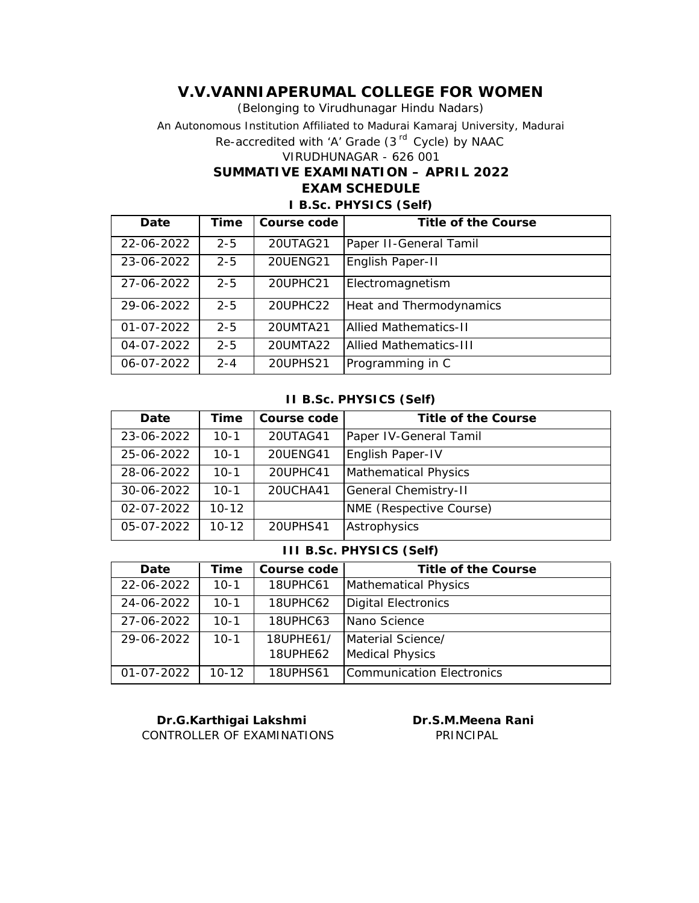(Belonging to Virudhunagar Hindu Nadars) An Autonomous Institution Affiliated to Madurai Kamaraj University, Madurai *Re-accredited with 'A' Grade (3 rd Cycle) by NAAC* VIRUDHUNAGAR - 626 001 **SUMMATIVE EXAMINATION – APRIL 2022 EXAM SCHEDULE**

### **I B.Sc. PHYSICS (Self)**

| Date             | Time    | Course code | Title of the Course            |
|------------------|---------|-------------|--------------------------------|
| 22-06-2022       | $2 - 5$ | 20UTAG21    | Paper II-General Tamil         |
| 23-06-2022       | $2 - 5$ | 20UENG21    | English Paper-II               |
| 27-06-2022       | $2 - 5$ | 20UPHC21    | Electromagnetism               |
| 29-06-2022       | $2 - 5$ | 20UPHC22    | Heat and Thermodynamics        |
| $01 - 07 - 2022$ | $2 - 5$ | 20UMTA21    | Allied Mathematics-II          |
| 04-07-2022       | $2 - 5$ | 20UMTA22    | <b>IAllied Mathematics-III</b> |
| 06-07-2022       | $2 - 4$ | 20UPHS21    | Programming in C               |

#### **II B.Sc. PHYSICS (Self)**

| Date             | Time      | Course code     | Title of the Course     |
|------------------|-----------|-----------------|-------------------------|
| 23-06-2022       | $10-1$    | 20UTAG41        | Paper IV-General Tamil  |
| 25-06-2022       | $10-1$    | <b>20UENG41</b> | English Paper-IV        |
| 28-06-2022       | $10 - 1$  | 20UPHC41        | Mathematical Physics    |
| 30-06-2022       | $10 - 1$  | 20UCHA41        | General Chemistry-II    |
| $02 - 07 - 2022$ | $10 - 12$ |                 | NME (Respective Course) |
| 05-07-2022       | $10 - 12$ | 20UPHS41        | Astrophysics            |

#### **III B.Sc. PHYSICS (Self)**

| Date       | Time      | Course code           | Title of the Course                         |
|------------|-----------|-----------------------|---------------------------------------------|
| 22-06-2022 | $10 - 1$  | 18UPHC61              | Mathematical Physics                        |
| 24-06-2022 | $10 - 1$  | 18UPHC62              | Digital Electronics                         |
| 27-06-2022 | $10 - 1$  | 18UPHC63              | INano Science                               |
| 29-06-2022 | $10 - 1$  | 18UPHE61/<br>18UPHE62 | Material Science/<br><b>Medical Physics</b> |
| 01-07-2022 | $10 - 12$ | <b>18UPHS61</b>       | Communication Electronics                   |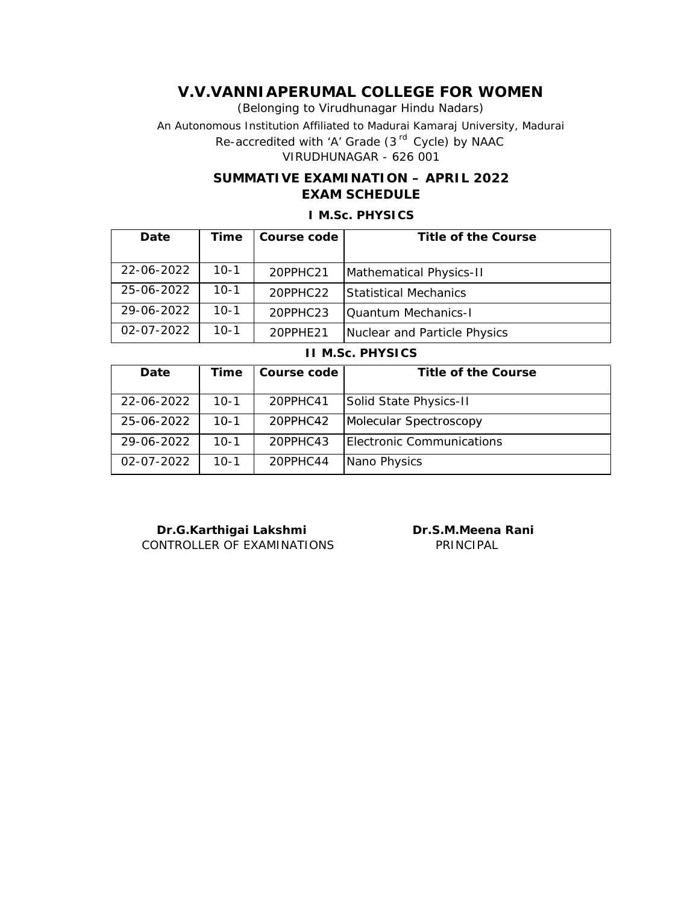(Belonging to Virudhunagar Hindu Nadars) An Autonomous Institution Affiliated to Madurai Kamaraj University, Madurai *Re-accredited with 'A' Grade (3 rd Cycle) by NAAC* VIRUDHUNAGAR - 626 001

## **SUMMATIVE EXAMINATION – APRIL 2022 EXAM SCHEDULE**

## **I M.Sc. PHYSICS**

| Date             | Time   | Course code    | Title of the Course          |
|------------------|--------|----------------|------------------------------|
|                  |        |                |                              |
| 22-06-2022       | $10-1$ | 20PPHC21       | Mathematical Physics-II      |
| 25-06-2022       | $10-1$ | $20$ PPHC $22$ | <b>Statistical Mechanics</b> |
| 29-06-2022       | $10-1$ | $20$ PPHC $23$ | <b>Ouantum Mechanics-I</b>   |
| $02 - 07 - 2022$ | $10-1$ | 20PPHE21       | Nuclear and Particle Physics |

**II M.Sc. PHYSICS**

| Date             | Time   | Course code | Title of the Course       |
|------------------|--------|-------------|---------------------------|
| 22-06-2022       | $10-1$ | 20PPHC41    | Solid State Physics-II    |
| 25-06-2022       | $10-1$ | 20PPHC42    | Molecular Spectroscopy    |
| 29-06-2022       | $10-1$ | $20$ PPHC43 | Electronic Communications |
| $02 - 07 - 2022$ | $10-1$ | 20PPHC44    | Nano Physics              |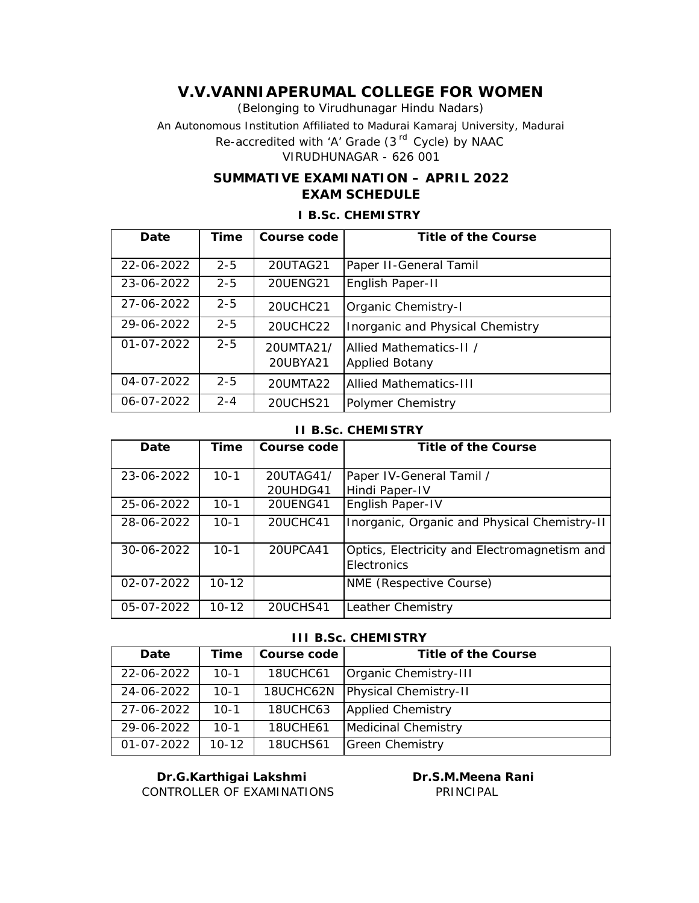(Belonging to Virudhunagar Hindu Nadars) An Autonomous Institution Affiliated to Madurai Kamaraj University, Madurai *Re-accredited with 'A' Grade (3 rd Cycle) by NAAC* VIRUDHUNAGAR - 626 001

## **SUMMATIVE EXAMINATION – APRIL 2022 EXAM SCHEDULE**

| Date             | Time    | Course code           | Title of the Course                              |
|------------------|---------|-----------------------|--------------------------------------------------|
|                  |         |                       |                                                  |
| 22-06-2022       | $2 - 5$ | 20UTAG21              | Paper II-General Tamil                           |
| 23-06-2022       | $2 - 5$ | 20UENG21              | English Paper-II                                 |
| 27-06-2022       | $2 - 5$ | 20UCHC21              | Organic Chemistry-I                              |
| 29-06-2022       | $2 - 5$ | 20UCHC22              | Inorganic and Physical Chemistry                 |
| $01 - 07 - 2022$ | $2 - 5$ | 20UMTA21/<br>20UBYA21 | Allied Mathematics-II /<br><b>Applied Botany</b> |
| 04-07-2022       | $2 - 5$ | 20UMTA22              | Allied Mathematics-III                           |
| 06-07-2022       | $2 - 4$ | 20UCHS21              | Polymer Chemistry                                |

### **I B.Sc. CHEMISTRY**

#### **II B.Sc. CHEMISTRY**

| Date             | Time      | Course code          | Title of the Course                                         |
|------------------|-----------|----------------------|-------------------------------------------------------------|
| 23-06-2022       | $10-1$    | 20UTAG41/            | Paper IV-General Tamil /                                    |
| 25-06-2022       | $10-1$    | 20UHDG41<br>20UENG41 | Hindi Paper-IV<br>English Paper-IV                          |
| 28-06-2022       | $10 - 1$  | 20UCHC41             | Inorganic, Organic and Physical Chemistry-II                |
| 30-06-2022       | $10 - 1$  | 20UPCA41             | Optics, Electricity and Electromagnetism and<br>Electronics |
| $02 - 07 - 2022$ | $10 - 12$ |                      | NME (Respective Course)                                     |
| 05-07-2022       | $10 - 12$ | 20UCHS41             | Leather Chemistry                                           |

#### **III B.Sc. CHEMISTRY**

| Date       | Time      | Course code     | Title of the Course   |
|------------|-----------|-----------------|-----------------------|
| 22-06-2022 | $10 - 1$  | 18UCHC61        | Organic Chemistry-III |
| 24-06-2022 | $10-1$    | 18UCHC62N       | Physical Chemistry-II |
| 27-06-2022 | $10 - 1$  | 18UCHC63        | Applied Chemistry     |
| 29-06-2022 | $10 - 1$  | 18UCHE61        | Medicinal Chemistry   |
| 01-07-2022 | $10 - 12$ | <b>18UCHS61</b> | Green Chemistry       |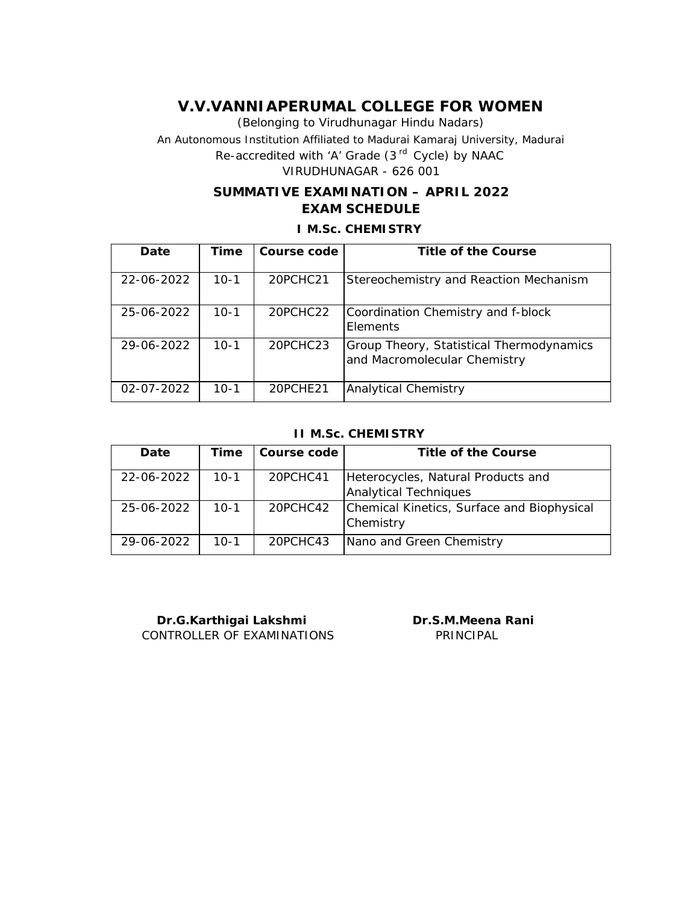(Belonging to Virudhunagar Hindu Nadars) An Autonomous Institution Affiliated to Madurai Kamaraj University, Madurai *Re-accredited with 'A' Grade (3 rd Cycle) by NAAC* VIRUDHUNAGAR - 626 001

## **SUMMATIVE EXAMINATION – APRIL 2022 EXAM SCHEDULE**

**I M.Sc. CHEMISTRY**

| Date       | Time     | Course code | Title of the Course                                                      |
|------------|----------|-------------|--------------------------------------------------------------------------|
| 22-06-2022 | $10-1$   | 20PCHC21    | Stereochemistry and Reaction Mechanism                                   |
| 25-06-2022 | $10 - 1$ | 20PCHC22    | Coordination Chemistry and f-block<br>Elements                           |
| 29-06-2022 | $10-1$   | 20PCHC23    | Group Theory, Statistical Thermodynamics<br>and Macromolecular Chemistry |
| 02-07-2022 | $10-1$   | 20PCHE21    | <b>Analytical Chemistry</b>                                              |

### **II M.Sc. CHEMISTRY**

| Date             | Time   | Course code | Title of the Course                                         |
|------------------|--------|-------------|-------------------------------------------------------------|
| 22-06-2022       | 10-1   | 20PCHC41    | Heterocycles, Natural Products and<br>Analytical Techniques |
| 25-06-2022       | $10-1$ | 20PCHC42    | Chemical Kinetics, Surface and Biophysical<br>Chemistry     |
| $29 - 06 - 2022$ | $10-1$ | 20PCHC43    | Nano and Green Chemistry                                    |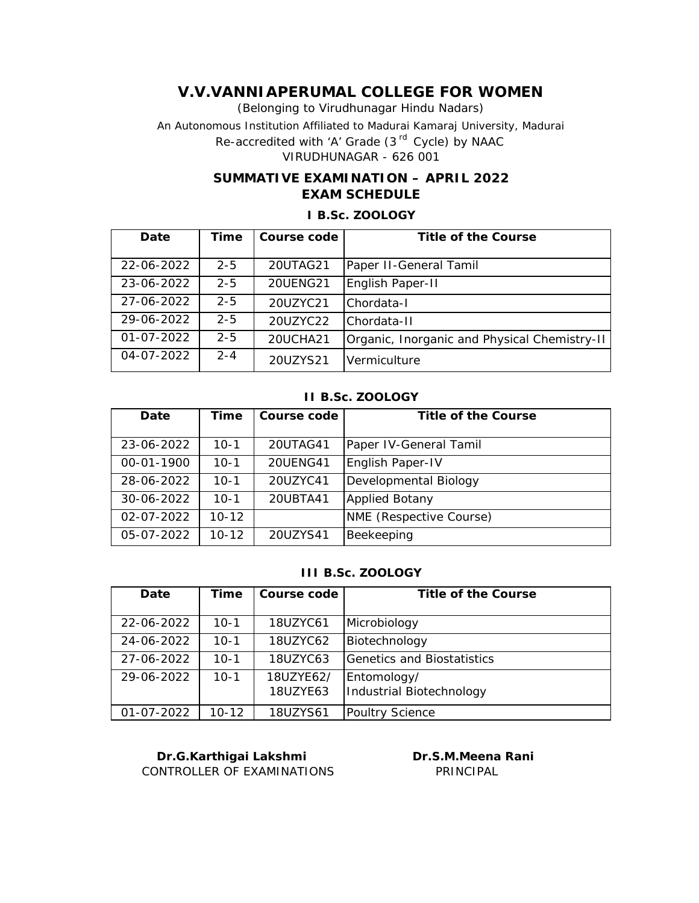(Belonging to Virudhunagar Hindu Nadars) An Autonomous Institution Affiliated to Madurai Kamaraj University, Madurai *Re-accredited with 'A' Grade (3 rd Cycle) by NAAC* VIRUDHUNAGAR - 626 001

## **SUMMATIVE EXAMINATION – APRIL 2022 EXAM SCHEDULE**

### **I B.Sc. ZOOLOGY**

| Date             | Time    | Course code | Title of the Course                          |
|------------------|---------|-------------|----------------------------------------------|
|                  |         |             |                                              |
| 22-06-2022       | $2 - 5$ | 20UTAG21    | Paper II-General Tamil                       |
| 23-06-2022       | $2 - 5$ | 20UENG21    | English Paper-II                             |
| 27-06-2022       | $2 - 5$ | 20UZYC21    | Chordata-I                                   |
| 29-06-2022       | $2 - 5$ | 20UZYC22    | Chordata-II                                  |
| $01 - 07 - 2022$ | $2 - 5$ | 20UCHA21    | Organic, Inorganic and Physical Chemistry-II |
| 04-07-2022       | $2 - 4$ | 20UZYS21    | Vermiculture                                 |

## **II B.Sc. ZOOLOGY**

| Date       | Time      | Course code | Title of the Course     |
|------------|-----------|-------------|-------------------------|
| 23-06-2022 | $10-1$    | 20UTAG41    | Paper IV-General Tamil  |
| 00-01-1900 | $10-1$    | 20UENG41    | English Paper-IV        |
| 28-06-2022 | $10-1$    | 20UZYC41    | Developmental Biology   |
| 30-06-2022 | $10-1$    | 20UBTA41    | <b>Applied Botany</b>   |
| 02-07-2022 | $10 - 12$ |             | NME (Respective Course) |
| 05-07-2022 | $10 - 12$ | 20UZYS41    | Beekeeping              |

### **III B.Sc. ZOOLOGY**

| Date       | Time     | Course code           | Title of the Course                     |
|------------|----------|-----------------------|-----------------------------------------|
| 22-06-2022 | $10-1$   | 18UZYC61              | Microbiology                            |
| 24-06-2022 | $10 - 1$ | 18UZYC62              | Biotechnology                           |
| 27-06-2022 | $10 - 1$ | 18UZYC63              | Genetics and Biostatistics              |
| 29-06-2022 | $10 - 1$ | 18UZYE62/<br>18UZYE63 | Entomology/<br>Industrial Biotechnology |
| 01-07-2022 | 10-12    | 18UZYS61              | Poultry Science                         |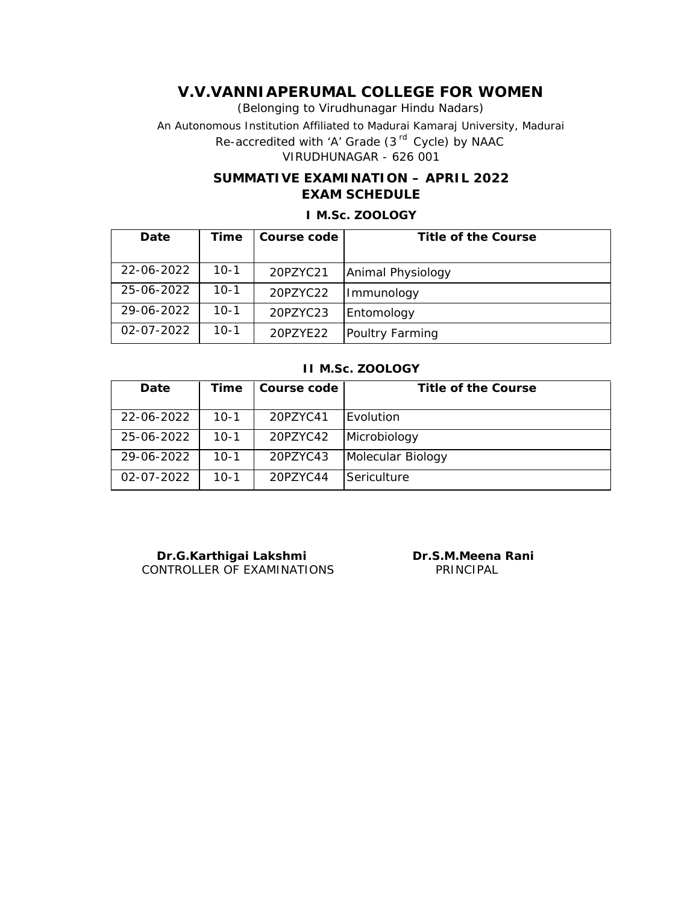(Belonging to Virudhunagar Hindu Nadars) An Autonomous Institution Affiliated to Madurai Kamaraj University, Madurai *Re-accredited with 'A' Grade (3 rd Cycle) by NAAC* VIRUDHUNAGAR - 626 001

## **SUMMATIVE EXAMINATION – APRIL 2022 EXAM SCHEDULE**

# **I M.Sc. ZOOLOGY**

| Date             | Time     | Course code | Title of the Course |
|------------------|----------|-------------|---------------------|
|                  |          |             |                     |
| 22-06-2022       | $10 - 1$ | 20PZYC21    | Animal Physiology   |
| 25-06-2022       | $10-1$   | 20PZYC22    | Immunology          |
| 29-06-2022       | 10-1     | 20PZYC23    | Entomology          |
| $02 - 07 - 2022$ | $10-1$   | 20PZYE22    | Poultry Farming     |

#### **II M.Sc. ZOOLOGY**

| Date             | Time   | Course code | Title of the Course |
|------------------|--------|-------------|---------------------|
| 22-06-2022       | $10-1$ | 20PZYC41    | Evolution           |
| 25-06-2022       | $10-1$ | 20PZYC42    | Microbiology        |
| 29-06-2022       | $10-1$ | 20PZYC43    | Molecular Biology   |
| $02 - 07 - 2022$ | $10-1$ | 20P7YC44    | Sericulture         |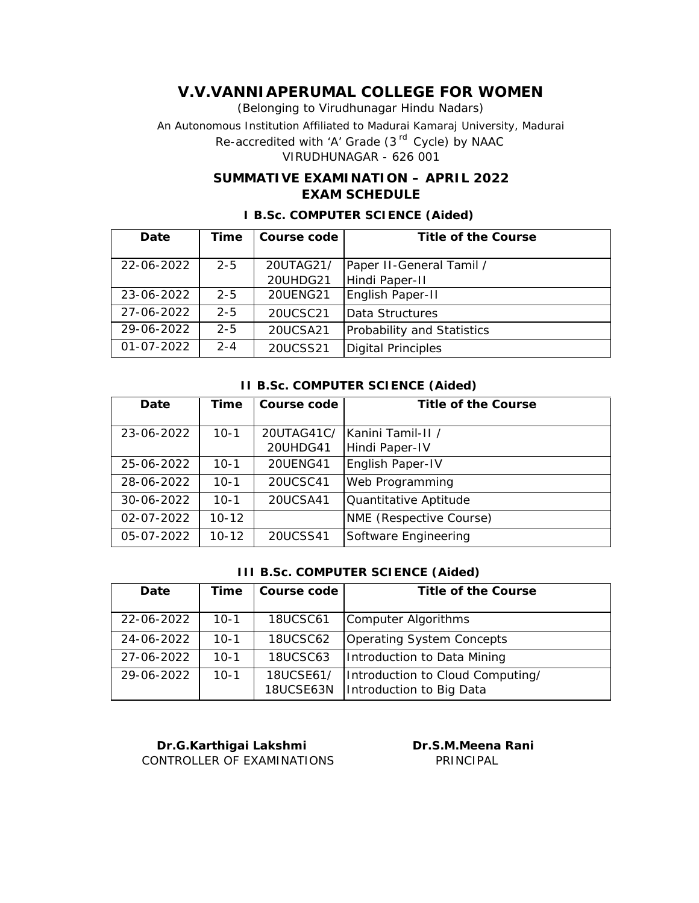(Belonging to Virudhunagar Hindu Nadars) An Autonomous Institution Affiliated to Madurai Kamaraj University, Madurai *Re-accredited with 'A' Grade (3 rd Cycle) by NAAC*

VIRUDHUNAGAR - 626 001

## **SUMMATIVE EXAMINATION – APRIL 2022 EXAM SCHEDULE**

| Date             | Time    | Course code | Title of the Course        |
|------------------|---------|-------------|----------------------------|
|                  |         |             |                            |
| 22-06-2022       | $2 - 5$ | 20UTAG21/   | Paper II-General Tamil /   |
|                  |         | 20UHDG21    | Hindi Paper-II             |
| 23-06-2022       | $2 - 5$ | 20UENG21    | English Paper-II           |
| 27-06-2022       | $2 - 5$ | 20UCSC21    | Data Structures            |
| 29-06-2022       | $2 - 5$ | 20UCSA21    | Probability and Statistics |
| $01 - 07 - 2022$ | $2 - 4$ | 20UCSS21    | <b>Digital Principles</b>  |

### **I B.Sc. COMPUTER SCIENCE (Aided)**

#### **II B.Sc. COMPUTER SCIENCE (Aided)**

| Date       | Time      | Course code | Title of the Course     |
|------------|-----------|-------------|-------------------------|
| 23-06-2022 | $10-1$    | 20UTAG41C/  | Kanini Tamil-II /       |
|            |           | 20UHDG41    | Hindi Paper-IV          |
| 25-06-2022 | $10-1$    | 20UENG41    | English Paper-IV        |
| 28-06-2022 | $10 - 1$  | 20UCSC41    | <b>Web Programming</b>  |
| 30-06-2022 | $10-1$    | 20UCSA41    | Quantitative Aptitude   |
| 02-07-2022 | $10 - 12$ |             | NME (Respective Course) |
| 05-07-2022 | $10 - 12$ | 20UCSS41    | Software Engineering    |

#### **III B.Sc. COMPUTER SCIENCE (Aided)**

| Date       | Time     | Course code            | Title of the Course                                          |
|------------|----------|------------------------|--------------------------------------------------------------|
| 22-06-2022 | $10-1$   | <b>18UCSC61</b>        | Computer Algorithms                                          |
| 24-06-2022 | $10-1$   | <b>18UCSC62</b>        | Operating System Concepts                                    |
| 27-06-2022 | $10-1$   | <b>18UCSC63</b>        | Introduction to Data Mining                                  |
| 29-06-2022 | $10 - 1$ | 18UCSE61/<br>18UCSE63N | Introduction to Cloud Computing/<br>Introduction to Big Data |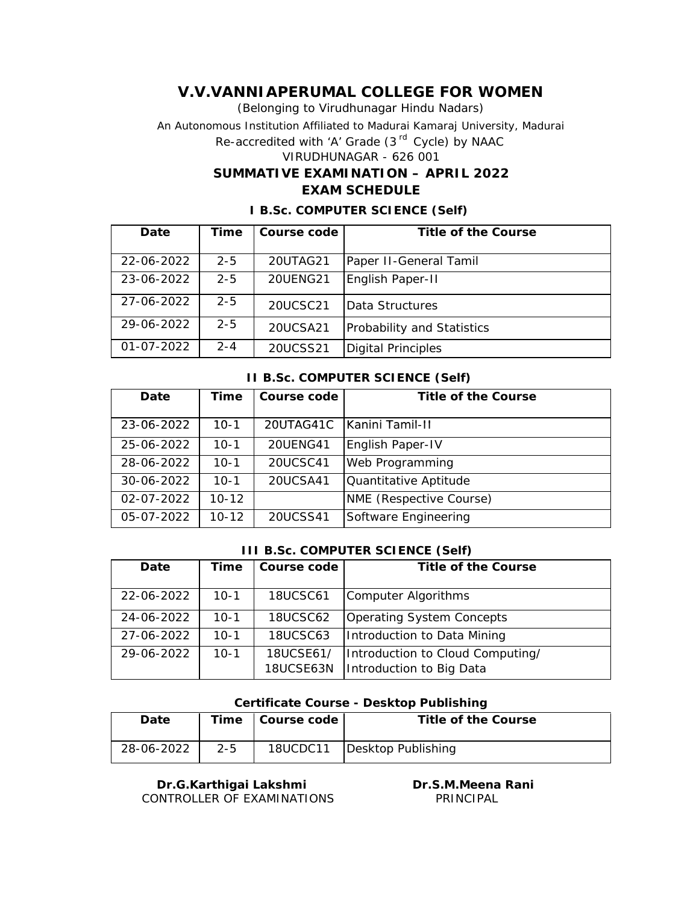(Belonging to Virudhunagar Hindu Nadars) An Autonomous Institution Affiliated to Madurai Kamaraj University, Madurai *Re-accredited with 'A' Grade (3 rd Cycle) by NAAC* VIRUDHUNAGAR - 626 001 **SUMMATIVE EXAMINATION – APRIL 2022**

### **EXAM SCHEDULE**

| Date             | Time    | Course code | Title of the Course        |
|------------------|---------|-------------|----------------------------|
|                  |         |             |                            |
| 22-06-2022       | $2 - 5$ | 20UTAG21    | Paper II-General Tamil     |
| 23-06-2022       | $2 - 5$ | 20UENG21    | English Paper-II           |
| 27-06-2022       | $2 - 5$ | 20UCSC21    | Data Structures            |
| 29-06-2022       | $2 - 5$ | 20UCSA21    | Probability and Statistics |
| $01 - 07 - 2022$ | $2 - 4$ | 20UCSS21    | Digital Principles         |

#### **I B.Sc. COMPUTER SCIENCE (Self)**

#### **II B.Sc. COMPUTER SCIENCE (Self)**

| Date       | Time      | Course code | Title of the Course     |
|------------|-----------|-------------|-------------------------|
| 23-06-2022 | $10-1$    | 20UTAG41C   | IKanini Tamil-II        |
| 25-06-2022 | $10-1$    | 20UENG41    | English Paper-IV        |
| 28-06-2022 | $10 - 1$  | 20UCSC41    | Web Programming         |
| 30-06-2022 | $10 - 1$  | 20UCSA41    | Quantitative Aptitude   |
| 02-07-2022 | $10 - 12$ |             | NME (Respective Course) |
| 05-07-2022 | $10 - 12$ | 20UCSS41    | Software Engineering    |

#### **III B.Sc. COMPUTER SCIENCE (Self)**

| Date       | Time     | Course code            | Title of the Course                                          |
|------------|----------|------------------------|--------------------------------------------------------------|
| 22-06-2022 | 10-1     | <b>18UCSC61</b>        | Computer Algorithms                                          |
| 24-06-2022 | $10-1$   | <b>18UCSC62</b>        | Operating System Concepts                                    |
| 27-06-2022 | $10 - 1$ | <b>18UCSC63</b>        | Introduction to Data Mining                                  |
| 29-06-2022 | $10-1$   | 18UCSE61/<br>18UCSE63N | Introduction to Cloud Computing/<br>Introduction to Big Data |

#### **Certificate Course - Desktop Publishing**

| Date       |         | Time   Course code | Title of the Course           |
|------------|---------|--------------------|-------------------------------|
| 28-06-2022 | $2 - 5$ |                    | 18UCDC11   Desktop Publishing |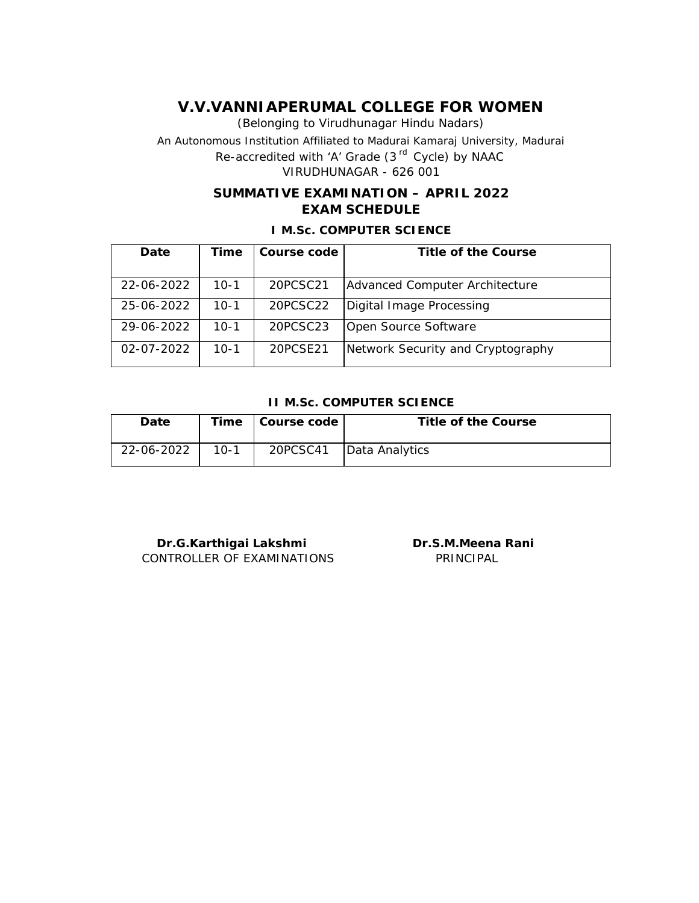(Belonging to Virudhunagar Hindu Nadars) An Autonomous Institution Affiliated to Madurai Kamaraj University, Madurai *Re-accredited with 'A' Grade (3 rd Cycle) by NAAC* VIRUDHUNAGAR - 626 001

## **SUMMATIVE EXAMINATION – APRIL 2022 EXAM SCHEDULE**

**I M.Sc. COMPUTER SCIENCE**

| Date             | Time   | Course code | Title of the Course               |
|------------------|--------|-------------|-----------------------------------|
|                  |        |             |                                   |
| 22-06-2022       | $10-1$ | 20PCSC21    | Advanced Computer Architecture    |
| 25-06-2022       | $10-1$ | 20PCSC22    | Digital Image Processing          |
| 29-06-2022       | $10-1$ | 20PCSC23    | Open Source Software              |
| $02 - 07 - 2022$ | $10-1$ | 20PCSF21    | Network Security and Cryptography |

#### **II M.Sc. COMPUTER SCIENCE**

| Date       |        | Time   Course code | Title of the Course |
|------------|--------|--------------------|---------------------|
| 22-06-2022 | $10-1$ | 20PCSC41           | Data Analytics      |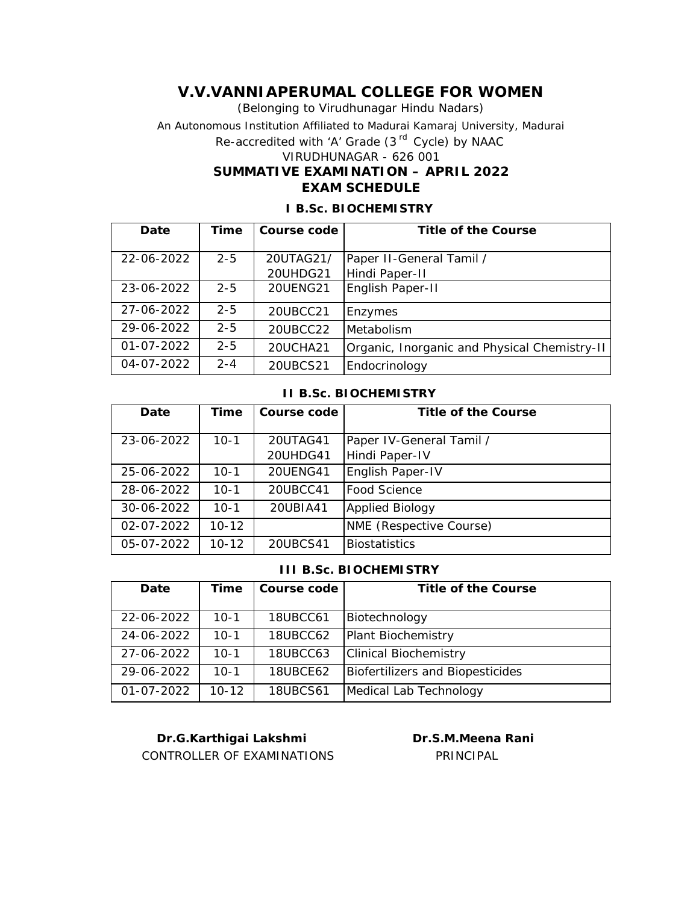(Belonging to Virudhunagar Hindu Nadars) An Autonomous Institution Affiliated to Madurai Kamaraj University, Madurai *Re-accredited with 'A' Grade (3 rd Cycle) by NAAC* VIRUDHUNAGAR - 626 001 **SUMMATIVE EXAMINATION – APRIL 2022 EXAM SCHEDULE**

| Date             | Time    | Course code | Title of the Course                          |
|------------------|---------|-------------|----------------------------------------------|
| 22-06-2022       | $2 - 5$ | 20UTAG21/   | Paper II-General Tamil /                     |
|                  |         | 20UHDG21    | Hindi Paper-II                               |
| 23-06-2022       | $2 - 5$ | 20UENG21    | English Paper-II                             |
| 27-06-2022       | $2 - 5$ | 20UBCC21    | Enzymes                                      |
| 29-06-2022       | $2 - 5$ | 20UBCC22    | Metabolism                                   |
| $01 - 07 - 2022$ | $2 - 5$ | 20UCHA21    | Organic, Inorganic and Physical Chemistry-II |
| 04-07-2022       | $2 - 4$ | 20UBCS21    | Endocrinology                                |

### **I B.Sc. BIOCHEMISTRY**

#### **II B.Sc. BIOCHEMISTRY**

| Date             | Time      | Course code | Title of the Course      |
|------------------|-----------|-------------|--------------------------|
|                  |           |             |                          |
| 23-06-2022       | $10 - 1$  | 20UTAG41    | Paper IV-General Tamil / |
|                  |           | 20UHDG41    | Hindi Paper-IV           |
| 25-06-2022       | $10 - 1$  | 20UENG41    | English Paper-IV         |
| 28-06-2022       | $10 - 1$  | 20UBCC41    | lFood Science            |
| 30-06-2022       | $10 - 1$  | 20UBIA41    | <b>Applied Biology</b>   |
| $02 - 07 - 2022$ | $10 - 12$ |             | NME (Respective Course)  |
| 05-07-2022       | $10 - 12$ | 20UBCS41    | <b>Biostatistics</b>     |

#### **III B.Sc. BIOCHEMISTRY**

| Date       | Time      | Course code     | Title of the Course              |
|------------|-----------|-----------------|----------------------------------|
|            |           |                 |                                  |
| 22-06-2022 | $10 - 1$  | 18UBCC61        | Biotechnology                    |
| 24-06-2022 | $10 - 1$  | 18UBCC62        | Plant Biochemistry               |
| 27-06-2022 | $10 - 1$  | 18UBCC63        | <b>Clinical Biochemistry</b>     |
| 29-06-2022 | $10 - 1$  | <b>18UBCE62</b> | Biofertilizers and Biopesticides |
| 01-07-2022 | $10 - 12$ | <b>18UBCS61</b> | Medical Lab Technology           |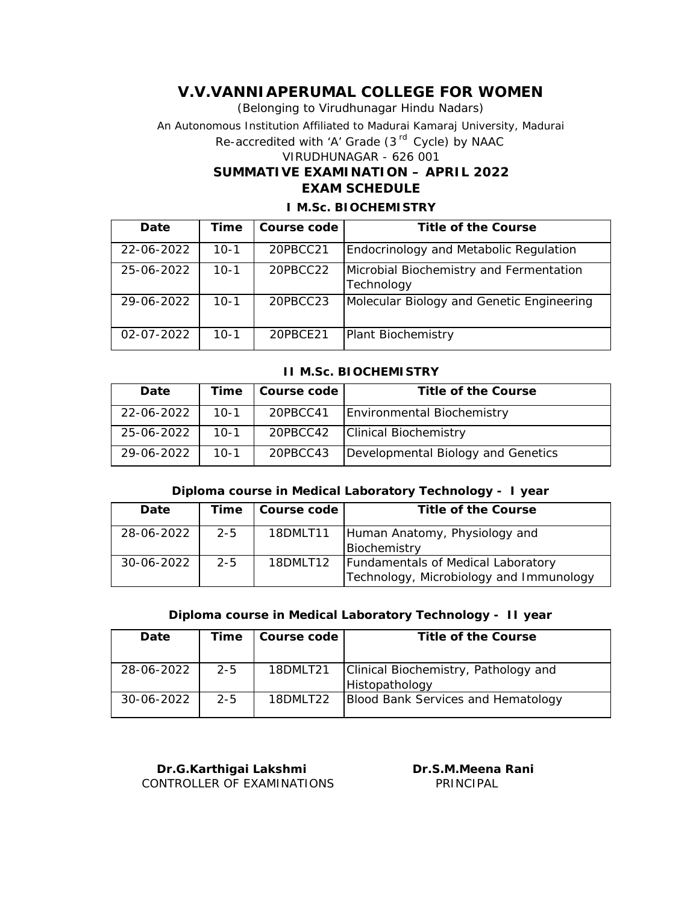**SUMMATIVE EXAMINATION – APRIL 2022 EXAM SCHEDULE** (Belonging to Virudhunagar Hindu Nadars) An Autonomous Institution Affiliated to Madurai Kamaraj University, Madurai *Re-accredited with 'A' Grade (3 rd Cycle) by NAAC* VIRUDHUNAGAR - 626 001

#### **I M.Sc. BIOCHEMISTRY**

| Date             | Time   | Course code | Title of the Course                                   |
|------------------|--------|-------------|-------------------------------------------------------|
| 22-06-2022       | 10-1   | 20PBCC21    | Endocrinology and Metabolic Regulation                |
| 25-06-2022       | $10-1$ | 20PBCC22    | Microbial Biochemistry and Fermentation<br>Technology |
| 29-06-2022       | $10-1$ | 20PBCC23    | Molecular Biology and Genetic Engineering             |
| $02 - 07 - 2022$ | 10-1   | 20PBCE21    | Plant Biochemistry                                    |

#### **II M.Sc. BIOCHEMISTRY**

| Date       | Time   | Course code | Title of the Course                |
|------------|--------|-------------|------------------------------------|
| 22-06-2022 | $10-1$ | 20PBCC41    | Environmental Biochemistry         |
| 25-06-2022 | $10-1$ |             | 20PBCC42   Clinical Biochemistry   |
| 29-06-2022 | $10-1$ | 20PBCC43    | Developmental Biology and Genetics |

#### **Diploma course in Medical Laboratory Technology - I year**

| Date       | Time    | Course code | Title of the Course                       |
|------------|---------|-------------|-------------------------------------------|
| 28-06-2022 | $2 - 5$ | 18DMLT11    | Human Anatomy, Physiology and             |
|            |         |             | Biochemistry                              |
| 30-06-2022 | $2 - 5$ | 18DMLT12    | <b>Fundamentals of Medical Laboratory</b> |
|            |         |             | Technology, Microbiology and Immunology   |

#### **Diploma course in Medical Laboratory Technology - II year**

| Date       | Time    | Course code | Title of the Course                  |
|------------|---------|-------------|--------------------------------------|
|            |         |             |                                      |
| 28-06-2022 | $2 - 5$ | 18DMLT21    | Clinical Biochemistry, Pathology and |
|            |         |             | Histopathology                       |
| 30-06-2022 | $2 - 5$ | 18DMI T22   | Blood Bank Services and Hematology   |
|            |         |             |                                      |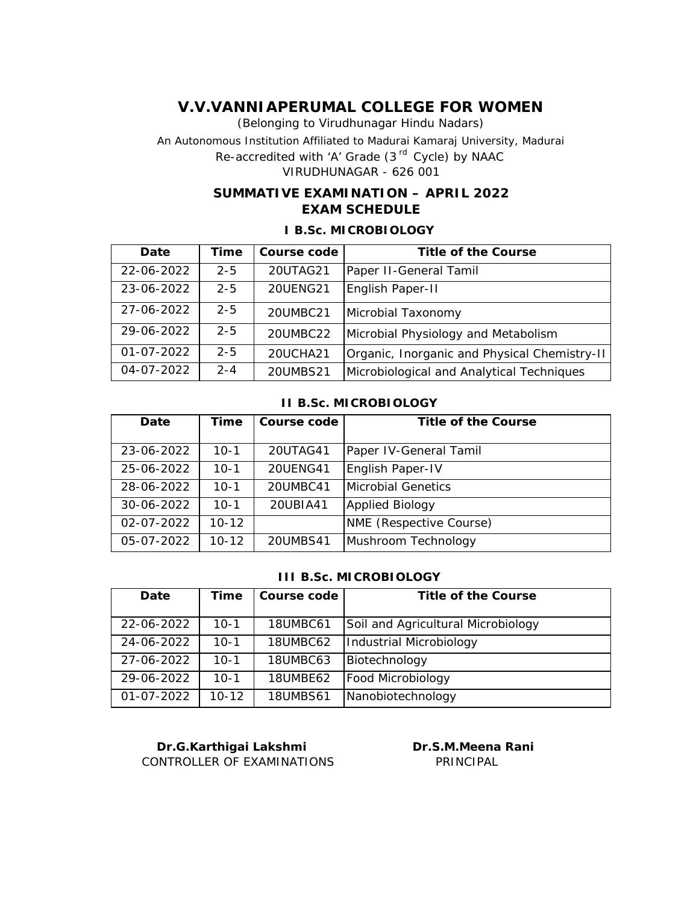(Belonging to Virudhunagar Hindu Nadars) An Autonomous Institution Affiliated to Madurai Kamaraj University, Madurai *Re-accredited with 'A' Grade (3 rd Cycle) by NAAC* VIRUDHUNAGAR - 626 001

## **SUMMATIVE EXAMINATION – APRIL 2022 EXAM SCHEDULE**

#### **I B.Sc. MICROBIOLOGY**

| Date       | Time    | Course code     | Title of the Course                          |
|------------|---------|-----------------|----------------------------------------------|
| 22-06-2022 | $2 - 5$ | 20UTAG21        | Paper II-General Tamil                       |
| 23-06-2022 | $2 - 5$ | <b>20UENG21</b> | English Paper-II                             |
| 27-06-2022 | $2 - 5$ | 20UMBC21        | Microbial Taxonomy                           |
| 29-06-2022 | $2 - 5$ | 20UMBC22        | Microbial Physiology and Metabolism          |
| 01-07-2022 | $2 - 5$ | 20UCHA21        | Organic, Inorganic and Physical Chemistry-II |
| 04-07-2022 | $2 - 4$ | 20UMBS21        | Microbiological and Analytical Techniques    |

### **II B.Sc. MICROBIOLOGY**

| Date       | Time      | Course code | Title of the Course       |
|------------|-----------|-------------|---------------------------|
| 23-06-2022 | $10-1$    | 20UTAG41    | Paper IV-General Tamil    |
| 25-06-2022 | $10-1$    | 20UENG41    | English Paper-IV          |
| 28-06-2022 | $10-1$    | 20UMBC41    | <b>Microbial Genetics</b> |
| 30-06-2022 | $10 - 1$  | 20UBIA41    | <b>Applied Biology</b>    |
| 02-07-2022 | $10 - 12$ |             | NME (Respective Course)   |
| 05-07-2022 | $10 - 12$ | 20UMBS41    | Mushroom Technology       |

### **III B.Sc. MICROBIOLOGY**

| Date       | Time      | Course code     | Title of the Course                |
|------------|-----------|-----------------|------------------------------------|
|            |           |                 |                                    |
| 22-06-2022 | $10-1$    | 18UMBC61        | Soil and Agricultural Microbiology |
| 24-06-2022 | $10-1$    | 18UMBC62        | Industrial Microbiology            |
| 27-06-2022 | $10 - 1$  | 18UMBC63        | Biotechnology                      |
| 29-06-2022 | $10 - 1$  | 18UMBE62        | Food Microbiology                  |
| 01-07-2022 | $10 - 12$ | <b>18UMBS61</b> | Nanobiotechnology                  |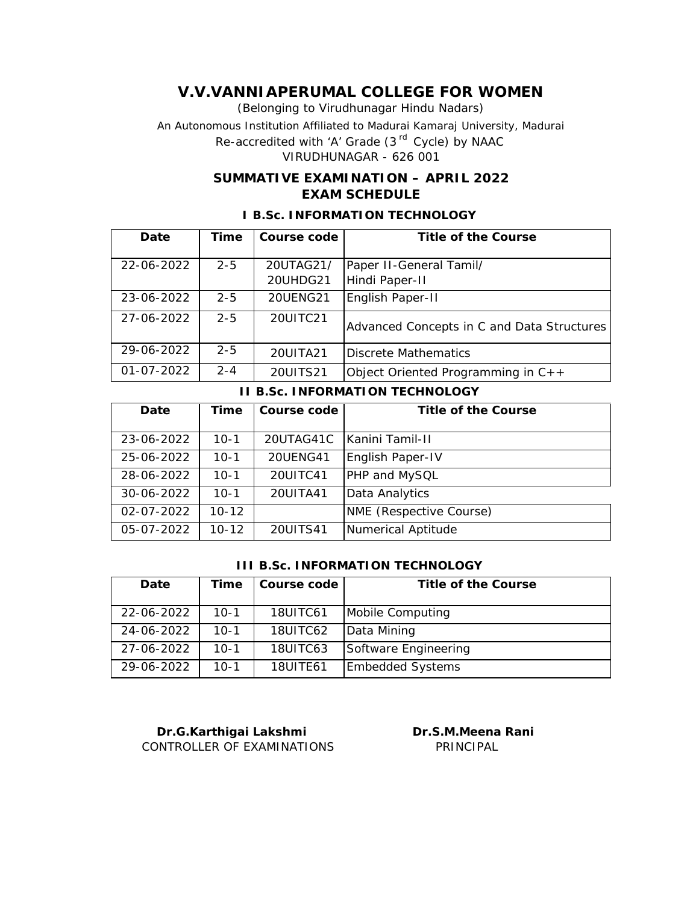(Belonging to Virudhunagar Hindu Nadars) An Autonomous Institution Affiliated to Madurai Kamaraj University, Madurai *Re-accredited with 'A' Grade (3 rd Cycle) by NAAC*

VIRUDHUNAGAR - 626 001

## **SUMMATIVE EXAMINATION – APRIL 2022 EXAM SCHEDULE**

## **Date Time Course code Title of the Course** 22-06-2022 2-5 20UTAG21/ 20UHDG21 Paper II-General Tamil/ Hindi Paper-II 23-06-2022 2-5 20UENG21 English Paper-II 27-06-2022 2-5 20UITC21 Advanced Concepts in C and Data Structures 29-06-2022  $\vert$  2-5  $\vert$  20UITA21 Discrete Mathematics  $01-07-2022$  2-4 20UITS21 Object Oriented Programming in C++

#### **I B.Sc. INFORMATION TECHNOLOGY**

**II B.Sc. INFORMATION TECHNOLOGY**

| Date             | Time      | Course code | Title of the Course     |
|------------------|-----------|-------------|-------------------------|
| 23-06-2022       | $10 - 1$  | 20UTAG41C   | Kanini Tamil-II         |
| 25-06-2022       | $10 - 1$  | 20UENG41    | English Paper-IV        |
| 28-06-2022       | $10-1$    | 20UITC41    | PHP and MySQL           |
| 30-06-2022       | $10-1$    | 20UITA41    | Data Analytics          |
| $02 - 07 - 2022$ | $10 - 12$ |             | NME (Respective Course) |
| 05-07-2022       | 10-12     | 20UITS41    | Numerical Aptitude      |

#### **III B.Sc. INFORMATION TECHNOLOGY**

| Date       | Time   | Course code     | Title of the Course     |
|------------|--------|-----------------|-------------------------|
| 22-06-2022 | $10-1$ | <b>18UITC61</b> | Mobile Computing        |
| 24-06-2022 | $10-1$ | 18UITC62        | Data Mining             |
| 27-06-2022 | $10-1$ | 18UITC63        | Software Engineering    |
| 29-06-2022 | $10-1$ | 18UITE61        | <b>Embedded Systems</b> |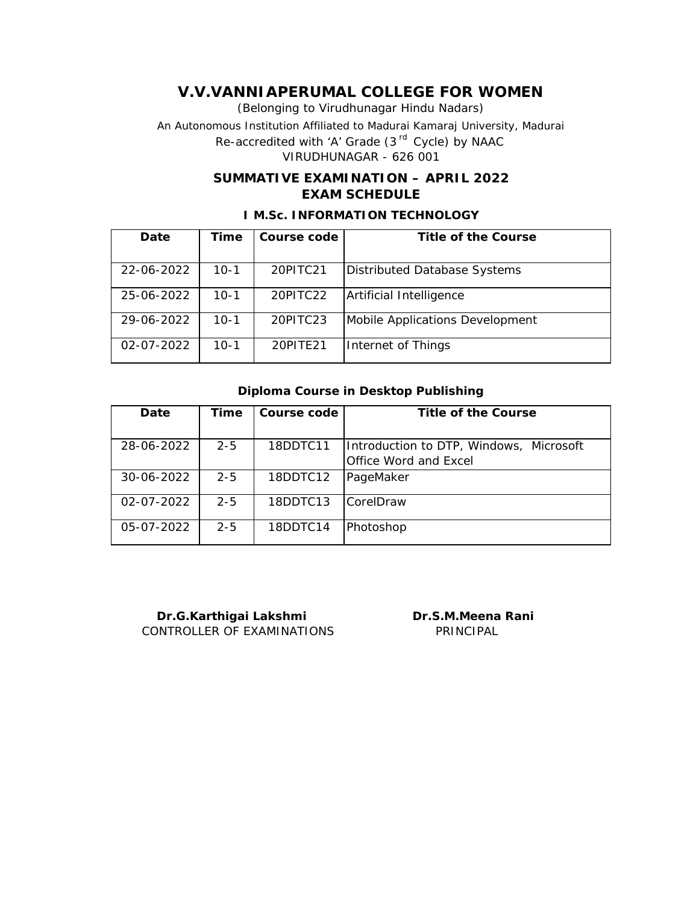(Belonging to Virudhunagar Hindu Nadars) An Autonomous Institution Affiliated to Madurai Kamaraj University, Madurai *Re-accredited with 'A' Grade (3 rd Cycle) by NAAC* VIRUDHUNAGAR - 626 001

## **SUMMATIVE EXAMINATION – APRIL 2022 EXAM SCHEDULE**

| Date       | Time   | Course code | Title of the Course             |
|------------|--------|-------------|---------------------------------|
|            |        |             |                                 |
| 22-06-2022 | 10-1   | 20PITC21    | Distributed Database Systems    |
| 25-06-2022 | 10-1   | 20PITC22    | Artificial Intelligence         |
| 29-06-2022 | $10-1$ | 20PITC23    | Mobile Applications Development |
| 02-07-2022 | 10-1   | 20PITE21    | Internet of Things              |

### **I M.Sc. INFORMATION TECHNOLOGY**

#### **Diploma Course in Desktop Publishing**

| Date       | Time    | Course code | Title of the Course                     |
|------------|---------|-------------|-----------------------------------------|
|            |         |             |                                         |
| 28-06-2022 | $2 - 5$ | 18DDTC11    | Introduction to DTP, Windows, Microsoft |
|            |         |             | Office Word and Excel                   |
| 30-06-2022 | $2 - 5$ | 18DDTC12    | PageMaker                               |
| 02-07-2022 | $2 - 5$ | 18DDTC13    | lCorelDraw                              |
| 05-07-2022 | $2 - 5$ | 18DDTC14    | Photoshop                               |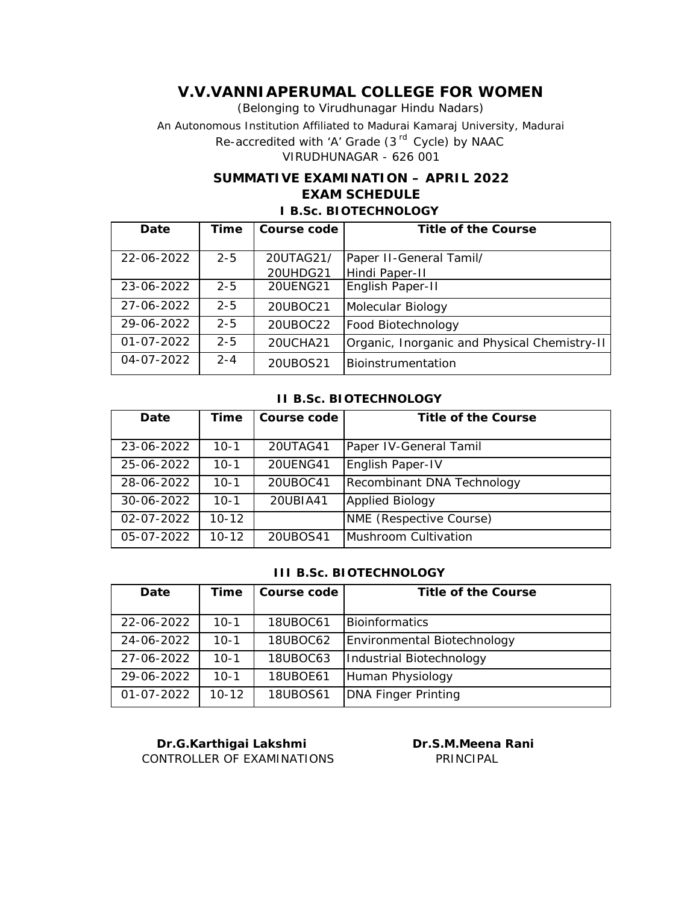(Belonging to Virudhunagar Hindu Nadars) An Autonomous Institution Affiliated to Madurai Kamaraj University, Madurai *Re-accredited with 'A' Grade (3 rd Cycle) by NAAC* VIRUDHUNAGAR - 626 001

## **SUMMATIVE EXAMINATION – APRIL 2022 EXAM SCHEDULE I B.Sc. BIOTECHNOLOGY**

| Date       | Time    | Course code     | Title of the Course                          |
|------------|---------|-----------------|----------------------------------------------|
|            |         |                 |                                              |
| 22-06-2022 | $2 - 5$ | 20UTAG21/       | Paper II-General Tamil/                      |
|            |         | 20UHDG21        | Hindi Paper-II                               |
| 23-06-2022 | $2 - 5$ | <b>20UENG21</b> | English Paper-II                             |
| 27-06-2022 | $2 - 5$ | 20UBOC21        | Molecular Biology                            |
| 29-06-2022 | $2 - 5$ | 20UBOC22        | Food Biotechnology                           |
| 01-07-2022 | $2 - 5$ | 20UCHA21        | Organic, Inorganic and Physical Chemistry-II |
| 04-07-2022 | $2 - 4$ | 20UBOS21        | Bioinstrumentation                           |

#### **II B.Sc. BIOTECHNOLOGY**

| Date       | Time      | Course code | Title of the Course        |
|------------|-----------|-------------|----------------------------|
|            |           |             |                            |
| 23-06-2022 | $10-1$    | 20UTAG41    | Paper IV-General Tamil     |
| 25-06-2022 | $10 - 1$  | 20UENG41    | English Paper-IV           |
| 28-06-2022 | $10 - 1$  | 20UBOC41    | Recombinant DNA Technology |
| 30-06-2022 | $10 - 1$  | 20UBIA41    | <b>Applied Biology</b>     |
| 02-07-2022 | $10 - 12$ |             | NME (Respective Course)    |
| 05-07-2022 | 10-12     | 20UBOS41    | Mushroom Cultivation       |

#### **III B.Sc. BIOTECHNOLOGY**

| Date             | Time      | Course code | Title of the Course         |
|------------------|-----------|-------------|-----------------------------|
|                  |           |             |                             |
| 22-06-2022       | $10-1$    | 18UBOC61    | <b>IBioinformatics</b>      |
| 24-06-2022       | $10 - 1$  | 18UBOC62    | Environmental Biotechnology |
| 27-06-2022       | $10-1$    | 18UBOC63    | Industrial Biotechnology    |
| 29-06-2022       | $10 - 1$  | 18UBOE61    | Human Physiology            |
| $01 - 07 - 2022$ | $10 - 12$ | 18UBOS61    | <b>DNA Finger Printing</b>  |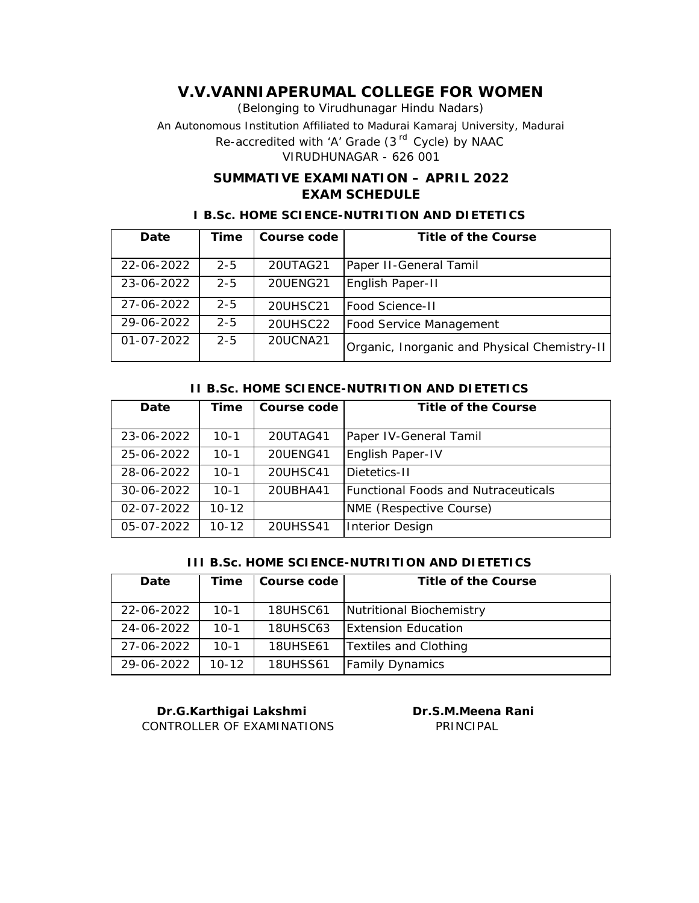(Belonging to Virudhunagar Hindu Nadars) An Autonomous Institution Affiliated to Madurai Kamaraj University, Madurai *Re-accredited with 'A' Grade (3 rd Cycle) by NAAC* VIRUDHUNAGAR - 626 001

## **SUMMATIVE EXAMINATION – APRIL 2022 EXAM SCHEDULE**

### **I B.Sc. HOME SCIENCE-NUTRITION AND DIETETICS**

| Date             | Time    | Course code | Title of the Course                          |
|------------------|---------|-------------|----------------------------------------------|
|                  |         |             |                                              |
| 22-06-2022       | $2 - 5$ | 20UTAG21    | Paper II-General Tamil                       |
| 23-06-2022       | $2 - 5$ | 20UENG21    | English Paper-II                             |
| 27-06-2022       | $2 - 5$ | 20UHSC21    | <b>Food Science-II</b>                       |
| 29-06-2022       | $2 - 5$ | 20UHSC22    | <b>Food Service Management</b>               |
| $01 - 07 - 2022$ | $2 - 5$ | 20UCNA21    | Organic, Inorganic and Physical Chemistry-II |

#### **II B.Sc. HOME SCIENCE-NUTRITION AND DIETETICS**

| Date             | Time      | Course code | Title of the Course                         |
|------------------|-----------|-------------|---------------------------------------------|
| 23-06-2022       | $10-1$    | 20UTAG41    | Paper IV-General Tamil                      |
| 25-06-2022       | $10-1$    | 20UENG41    | English Paper-IV                            |
| 28-06-2022       | $10-1$    | 20UHSC41    | Dietetics-II                                |
| 30-06-2022       | $10 - 1$  | 20UBHA41    | <b>IFunctional Foods and Nutraceuticals</b> |
| $02 - 07 - 2022$ | $10 - 12$ |             | NME (Respective Course)                     |
| 05-07-2022       | $10 - 12$ | 20UHSS41    | <b>Interior Design</b>                      |

#### **III B.Sc. HOME SCIENCE-NUTRITION AND DIETETICS**

| Date       | Time      | l Course code   | Title of the Course        |
|------------|-----------|-----------------|----------------------------|
|            |           |                 |                            |
| 22-06-2022 | $10-1$    | <b>18UHSC61</b> | Nutritional Biochemistry   |
| 24-06-2022 | $10-1$    | <b>18UHSC63</b> | <b>Extension Education</b> |
| 27-06-2022 | $10-1$    | <b>18UHSE61</b> | Textiles and Clothing      |
| 29-06-2022 | $10 - 12$ | <b>18UHSS61</b> | <b>Family Dynamics</b>     |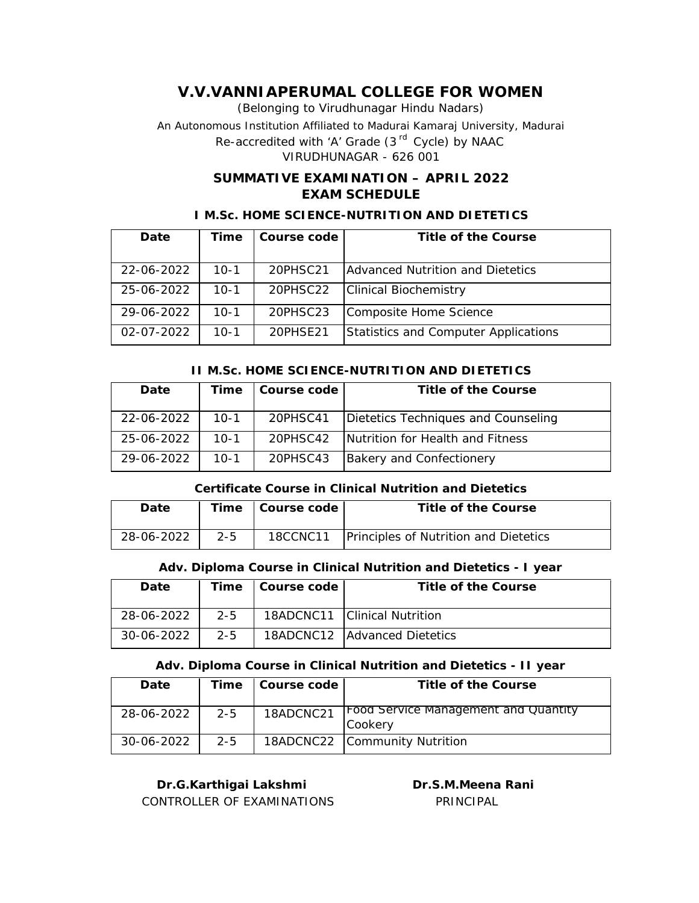(Belonging to Virudhunagar Hindu Nadars) An Autonomous Institution Affiliated to Madurai Kamaraj University, Madurai *Re-accredited with 'A' Grade (3 rd Cycle) by NAAC* VIRUDHUNAGAR - 626 001

## **SUMMATIVE EXAMINATION – APRIL 2022 EXAM SCHEDULE**

### **I M.Sc. HOME SCIENCE-NUTRITION AND DIETETICS**

| Date             | Time   | Course code | Title of the Course                     |
|------------------|--------|-------------|-----------------------------------------|
|                  |        |             |                                         |
| 22-06-2022       | $10-1$ | 20PHSC21    | <b>Advanced Nutrition and Dietetics</b> |
| 25-06-2022       | $10-1$ | 20PHSC22    | <b>Clinical Biochemistry</b>            |
| 29-06-2022       | $10-1$ | 20PHSC23    | Composite Home Science                  |
| $02 - 07 - 2022$ | 10-1   | 20PHSF21    | Statistics and Computer Applications    |

### **II M.Sc. HOME SCIENCE-NUTRITION AND DIETETICS**

| Date       | Time     | Course code | Title of the Course                 |
|------------|----------|-------------|-------------------------------------|
|            |          |             |                                     |
| 22-06-2022 | $10 - 1$ | 20PHSC41    | Dietetics Techniques and Counseling |
|            |          |             |                                     |
| 25-06-2022 | $10-1$   | 20PHSC42    | Nutrition for Health and Fitness    |
|            |          |             |                                     |
| 29-06-2022 | $10-1$   | 20PHSC43    | Bakery and Confectionery            |
|            |          |             |                                     |

### **Certificate Course in Clinical Nutrition and Dietetics**

| Date       |         | Time   Course code | Title of the Course                   |
|------------|---------|--------------------|---------------------------------------|
| 28-06-2022 | $2 - 5$ | 18CCNC11           | Principles of Nutrition and Dietetics |

## **Adv. Diploma Course in Clinical Nutrition and Dietetics - I year**

| Date       | Time    | Course code | Title of the Course            |
|------------|---------|-------------|--------------------------------|
| 28-06-2022 | $2 - 5$ |             | 18ADCNC11   Clinical Nutrition |
| 30-06-2022 | $2 - 5$ |             | 18ADCNC12   Advanced Dietetics |

### **Adv. Diploma Course in Clinical Nutrition and Dietetics - II year**

| Date       | Time    | Course code | Title of the Course                                    |
|------------|---------|-------------|--------------------------------------------------------|
| 28-06-2022 | $2 - 5$ | 18ADCNC21   | <b>Food Service Management and Quantity</b><br>Cookery |
| 30-06-2022 | $2 - 5$ |             | 18ADCNC22 Community Nutrition                          |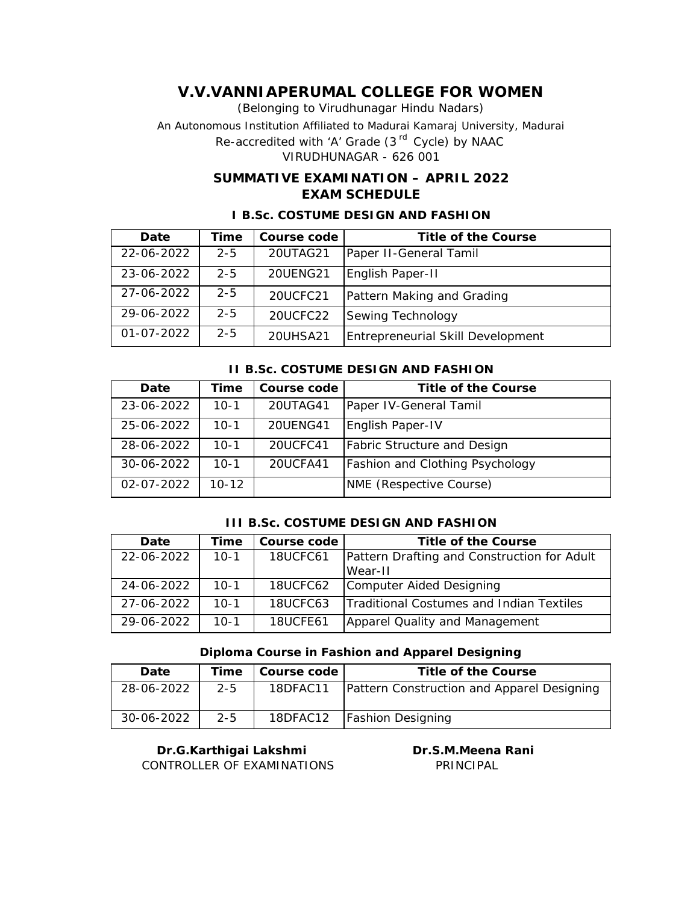(Belonging to Virudhunagar Hindu Nadars)

An Autonomous Institution Affiliated to Madurai Kamaraj University, Madurai

*Re-accredited with 'A' Grade (3 rd Cycle) by NAAC*

VIRUDHUNAGAR - 626 001

## **SUMMATIVE EXAMINATION – APRIL 2022 EXAM SCHEDULE**

| Date             | Time    | Course code | Title of the Course               |
|------------------|---------|-------------|-----------------------------------|
| 22-06-2022       | $2 - 5$ | 20UTAG21    | Paper II-General Tamil            |
| 23-06-2022       | $2 - 5$ | 20UENG21    | English Paper-II                  |
| 27-06-2022       | $2 - 5$ | 20UCFC21    | Pattern Making and Grading        |
| 29-06-2022       | $2 - 5$ | 20UCFC22    | Sewing Technology                 |
| $01 - 07 - 2022$ | $2 - 5$ | 20UHSA21    | Entrepreneurial Skill Development |

### **I B.Sc. COSTUME DESIGN AND FASHION**

#### **II B.Sc. COSTUME DESIGN AND FASHION**

| Date       | Time      | Course code     | Title of the Course                    |
|------------|-----------|-----------------|----------------------------------------|
| 23-06-2022 | $10-1$    | 20UTAG41        | Paper IV-General Tamil                 |
|            |           |                 |                                        |
| 25-06-2022 | $10-1$    | <b>20UENG41</b> | English Paper-IV                       |
| 28-06-2022 | $10-1$    | 20UCFC41        | <b>Fabric Structure and Design</b>     |
| 30-06-2022 | $10-1$    | 20UCFA41        | <b>Fashion and Clothing Psychology</b> |
| 02-07-2022 | $10 - 12$ |                 | NME (Respective Course)                |

#### **III B.Sc. COSTUME DESIGN AND FASHION**

| Date       | Time     | Course code | Title of the Course                         |
|------------|----------|-------------|---------------------------------------------|
| 22-06-2022 | $10 - 1$ | 18UCFC61    | Pattern Drafting and Construction for Adult |
|            |          |             | Wear-II                                     |
| 24-06-2022 | $10-1$   | 18UCFC62    | Computer Aided Designing                    |
| 27-06-2022 | $10-1$   | 18UCFC63    | Traditional Costumes and Indian Textiles    |
| 29-06-2022 | $10-1$   | 18UCFE61    | Apparel Quality and Management              |

### **Diploma Course in Fashion and Apparel Designing**

| Date       | Time    | Course code | Title of the Course                        |
|------------|---------|-------------|--------------------------------------------|
| 28-06-2022 | $2 - 5$ | 18DFAC11    | Pattern Construction and Apparel Designing |
| 30-06-2022 | $2 - 5$ |             | 18DFAC12   Fashion Designing               |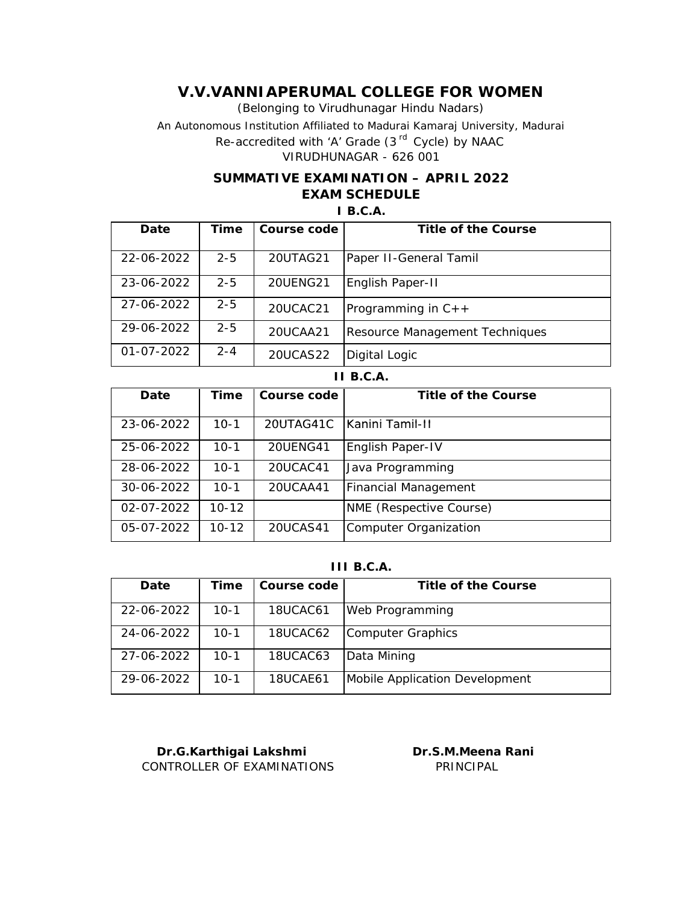(Belonging to Virudhunagar Hindu Nadars)

An Autonomous Institution Affiliated to Madurai Kamaraj University, Madurai

*Re-accredited with 'A' Grade (3 rd Cycle) by NAAC*

VIRUDHUNAGAR - 626 001

## **SUMMATIVE EXAMINATION – APRIL 2022 EXAM SCHEDULE**

#### **I B.C.A.**

| Date             | Time    | Course code | Title of the Course            |
|------------------|---------|-------------|--------------------------------|
|                  |         |             |                                |
| 22-06-2022       | $2 - 5$ | 20UTAG21    | Paper II-General Tamil         |
|                  |         |             |                                |
| 23-06-2022       | $2 - 5$ | 20UENG21    | English Paper-II               |
|                  |         |             |                                |
| 27-06-2022       | $2 - 5$ | 20UCAC21    | Programming in $C_{++}$        |
| 29-06-2022       | $2 - 5$ |             |                                |
|                  |         | 20UCAA21    | Resource Management Techniques |
| $01 - 07 - 2022$ | $2 - 4$ | 20UCAS22    | Digital Logic                  |

#### **II B.C.A.**

| Date                                                 | Time                                           | Course code                      | Title of the Course                                                                          |
|------------------------------------------------------|------------------------------------------------|----------------------------------|----------------------------------------------------------------------------------------------|
|                                                      |                                                |                                  |                                                                                              |
| 23-06-2022                                           | $10-1$                                         | 20UTAG41C                        | <b>IKanini Tamil-II</b>                                                                      |
|                                                      |                                                |                                  |                                                                                              |
| 25-06-2022                                           | $10 - 1$                                       | 20UENG41                         | English Paper-IV                                                                             |
|                                                      |                                                |                                  |                                                                                              |
|                                                      |                                                |                                  |                                                                                              |
|                                                      |                                                |                                  |                                                                                              |
|                                                      |                                                |                                  |                                                                                              |
|                                                      |                                                |                                  |                                                                                              |
|                                                      |                                                |                                  |                                                                                              |
|                                                      |                                                |                                  |                                                                                              |
|                                                      |                                                |                                  |                                                                                              |
|                                                      |                                                |                                  |                                                                                              |
| 28-06-2022<br>30-06-2022<br>02-07-2022<br>05-07-2022 | $10 - 1$<br>$10 - 1$<br>$10 - 12$<br>$10 - 12$ | 20UCAC41<br>20UCAA41<br>20UCAS41 | Java Programming<br>Financial Management<br>NME (Respective Course)<br>Computer Organization |

#### **III B.C.A.**

| Date       | Time   | Course code | Title of the Course            |
|------------|--------|-------------|--------------------------------|
| 22-06-2022 | $10-1$ | 18UCAC61    | Web Programming                |
| 24-06-2022 | $10-1$ | 18UCAC62    | Computer Graphics              |
| 27-06-2022 | $10-1$ | 18UCAC63    | Data Mining                    |
| 29-06-2022 | $10-1$ | 18UCAE61    | Mobile Application Development |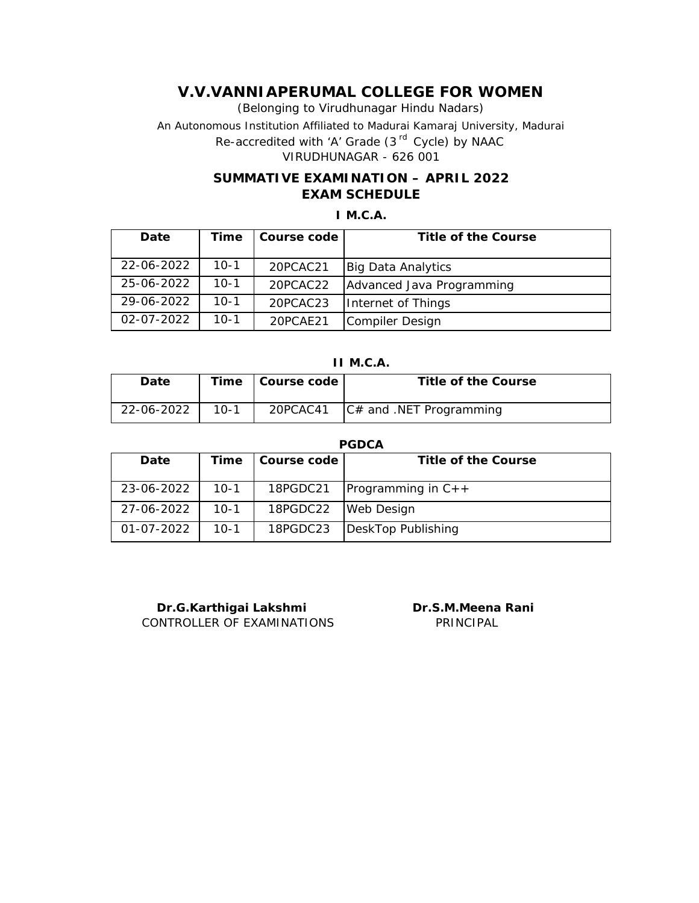(Belonging to Virudhunagar Hindu Nadars) An Autonomous Institution Affiliated to Madurai Kamaraj University, Madurai *Re-accredited with 'A' Grade (3 rd Cycle) by NAAC* VIRUDHUNAGAR - 626 001

## **SUMMATIVE EXAMINATION – APRIL 2022 EXAM SCHEDULE**

### **I M.C.A.**

| Date       | Time   | Course code | Title of the Course       |
|------------|--------|-------------|---------------------------|
| 22-06-2022 | $10-1$ | 20PCAC21    | <b>Big Data Analytics</b> |
| 25-06-2022 | $10-1$ | 20PCAC22    | Advanced Java Programming |
| 29-06-2022 | $10-1$ | 20PCAC23    | Internet of Things        |
| 02-07-2022 | 10-1   | 20PCAE21    | Compiler Design           |

**II M.C.A.**

| Date       |        | Time   Course code | Title of the Course        |
|------------|--------|--------------------|----------------------------|
| 22-06-2022 | $10-1$ | 20PCAC41           | $ C#$ and .NET Programming |

#### **PGDCA**

| Date       | Time   | Course code | Title of the Course     |
|------------|--------|-------------|-------------------------|
| 23-06-2022 | $10-1$ | 18PGDC21    | Programming in $C_{++}$ |
| 27-06-2022 | $10-1$ | 18PGDC22    | <b>Web Design</b>       |
| 01-07-2022 | $10-1$ | 18PGDC23    | DeskTop Publishing      |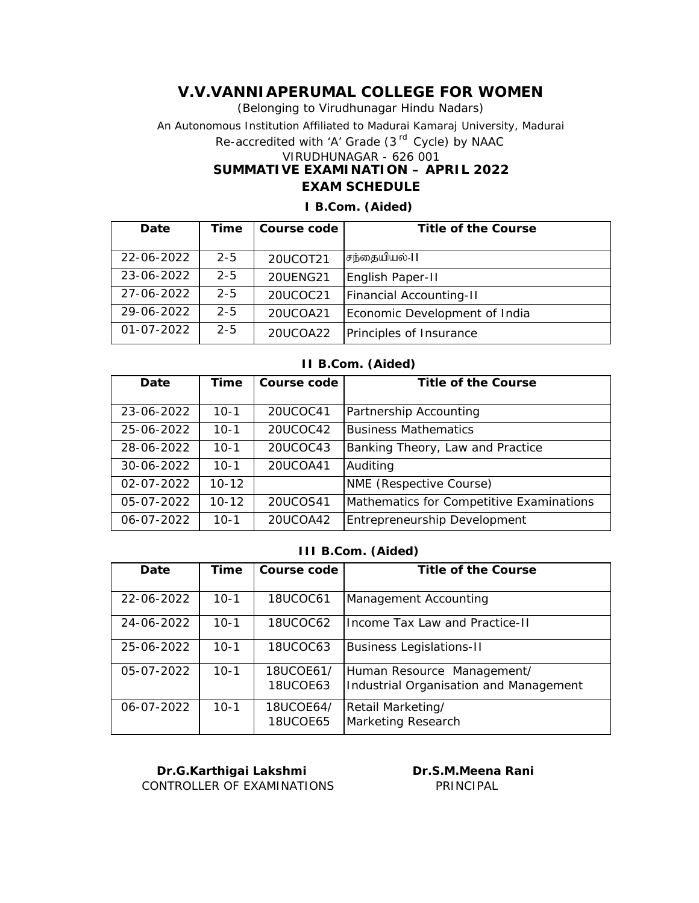(Belonging to Virudhunagar Hindu Nadars) An Autonomous Institution Affiliated to Madurai Kamaraj University, Madurai *Re-accredited with 'A' Grade (3 rd Cycle) by NAAC* VIRUDHUNAGAR - 626 001 **SUMMATIVE EXAMINATION – APRIL 2022 EXAM SCHEDULE**

| Date             | Time    | Course code     | Title of the Course            |
|------------------|---------|-----------------|--------------------------------|
|                  |         |                 |                                |
| 22-06-2022       | $2 - 5$ | 20UCOT21        | சந்தையியல்-11                  |
| 23-06-2022       | $2 - 5$ | <b>20UENG21</b> | English Paper-II               |
| 27-06-2022       | $2 - 5$ | 20UCOC21        | <b>Financial Accounting-II</b> |
| 29-06-2022       | $2 - 5$ | 20UCOA21        | Economic Development of India  |
| $01 - 07 - 2022$ | $2 - 5$ | 20UCOA22        | Principles of Insurance        |

## **I B.Com. (Aided)**

#### **II B.Com. (Aided)**

| Date             | Time      | Course code | Title of the Course                      |
|------------------|-----------|-------------|------------------------------------------|
| 23-06-2022       | $10 - 1$  | 20UCOC41    | Partnership Accounting                   |
| 25-06-2022       | $10 - 1$  | 20UCOC42    | <b>Business Mathematics</b>              |
| 28-06-2022       | $10 - 1$  | 20UCOC43    | Banking Theory, Law and Practice         |
| 30-06-2022       | $10 - 1$  | 20UCOA41    | Auditing                                 |
| $02 - 07 - 2022$ | $10 - 12$ |             | NME (Respective Course)                  |
| 05-07-2022       | $10 - 12$ | 20UCOS41    | Mathematics for Competitive Examinations |
| 06-07-2022       | $10 - 1$  | 20UCOA42    | Entrepreneurship Development             |

#### **III B.Com. (Aided)**

| Date       | Time     | Course code           | Title of the Course                                                  |
|------------|----------|-----------------------|----------------------------------------------------------------------|
| 22-06-2022 | $10 - 1$ | 18UCOC61              | Management Accounting                                                |
| 24-06-2022 | $10 - 1$ | 18UCOC62              | Income Tax Law and Practice-II                                       |
| 25-06-2022 | $10 - 1$ | 18UCOC63              | <b>Business Legislations-II</b>                                      |
| 05-07-2022 | $10-1$   | 18UCOE61/<br>18UCOE63 | Human Resource Management/<br>Industrial Organisation and Management |
| 06-07-2022 | $10 - 1$ | 18UCOE64/<br>18UCOE65 | Retail Marketing/<br>Marketing Research                              |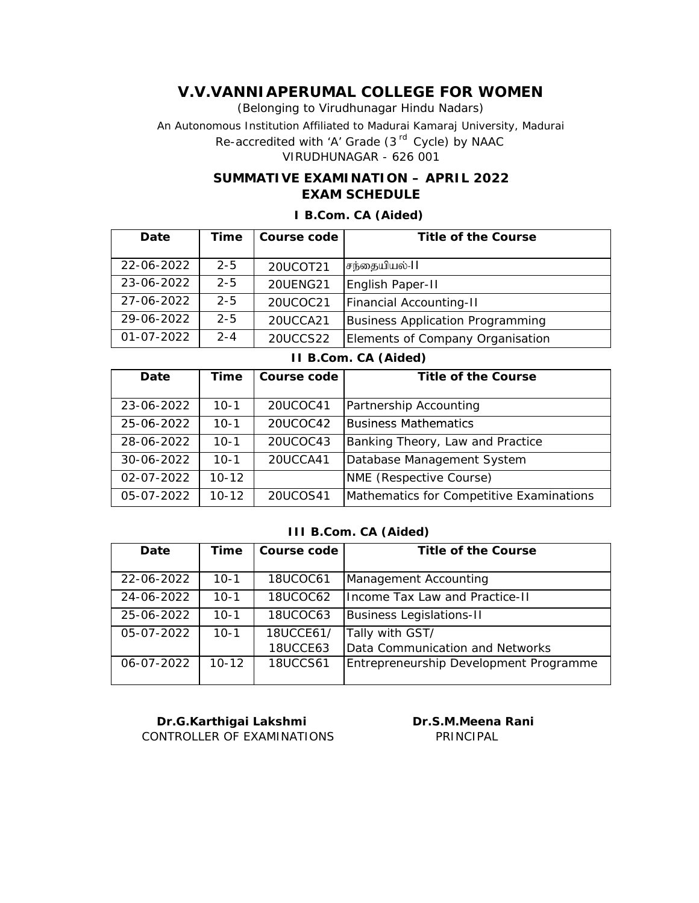(Belonging to Virudhunagar Hindu Nadars) An Autonomous Institution Affiliated to Madurai Kamaraj University, Madurai *Re-accredited with 'A' Grade (3 rd Cycle) by NAAC*

VIRUDHUNAGAR - 626 001

## **SUMMATIVE EXAMINATION – APRIL 2022 EXAM SCHEDULE**

| Date       | Time    | Course code     | Title of the Course              |
|------------|---------|-----------------|----------------------------------|
|            |         |                 |                                  |
| 22-06-2022 | $2 - 5$ | 20UCOT21        | சந்தையியல்-11                    |
| 23-06-2022 | $2 - 5$ | <b>20UENG21</b> | English Paper-II                 |
| 27-06-2022 | $2 - 5$ | 20UCOC21        | Financial Accounting-II          |
| 29-06-2022 | $2 - 5$ | 20UCCA21        | Business Application Programming |
| 01-07-2022 | $2 - 4$ | 20UCCS22        | Elements of Company Organisation |

#### **I B.Com. CA (Aided)**

**II B.Com. CA (Aided)**

| Date       | Time      | Course code | Title of the Course                      |
|------------|-----------|-------------|------------------------------------------|
|            |           |             |                                          |
| 23-06-2022 | $10 - 1$  | 20UCOC41    | Partnership Accounting                   |
| 25-06-2022 | $10-1$    | 20UCOC42    | Business Mathematics                     |
| 28-06-2022 | $10 - 1$  | 20UCOC43    | Banking Theory, Law and Practice         |
| 30-06-2022 | $10 - 1$  | 20UCCA41    | Database Management System               |
| 02-07-2022 | $10 - 12$ |             | NME (Respective Course)                  |
| 05-07-2022 | $10 - 12$ | 20UCOS41    | Mathematics for Competitive Examinations |

#### **III B.Com. CA (Aided)**

| Date             | Time      | Course code     | Title of the Course                    |
|------------------|-----------|-----------------|----------------------------------------|
| 22-06-2022       | $10-1$    | <b>18UCOC61</b> | Management Accounting                  |
| 24-06-2022       | $10-1$    | 18UCOC62        | Income Tax Law and Practice-II         |
| 25-06-2022       | $10 - 1$  | 18UCOC63        | <b>Business Legislations-II</b>        |
| 05-07-2022       | $10-1$    | 18UCCE61/       | Tally with GST/                        |
|                  |           | 18UCCE63        | Data Communication and Networks        |
| $06 - 07 - 2022$ | $10 - 12$ | <b>18UCCS61</b> | Entrepreneurship Development Programme |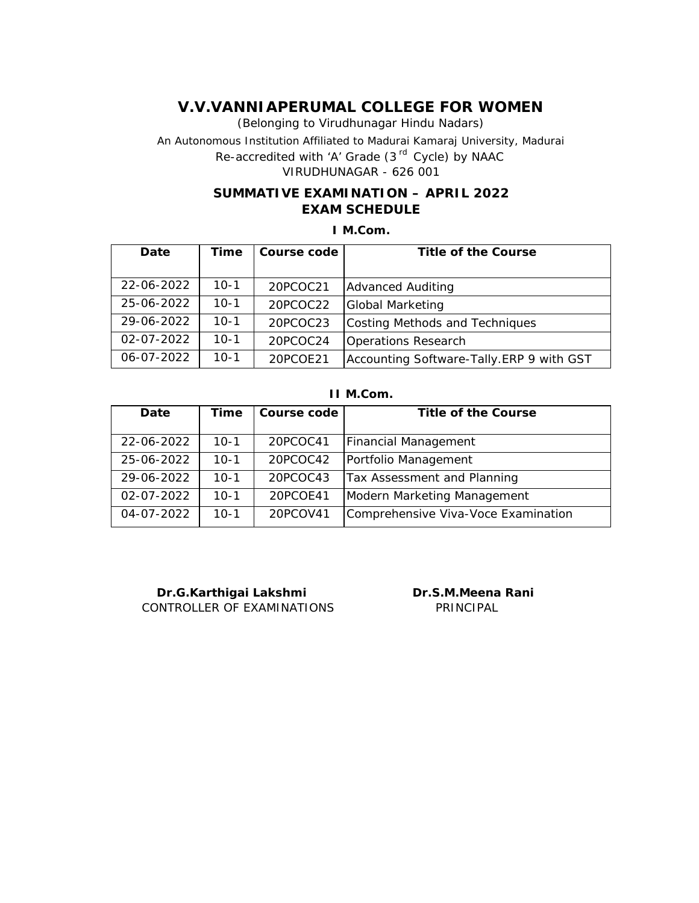(Belonging to Virudhunagar Hindu Nadars) An Autonomous Institution Affiliated to Madurai Kamaraj University, Madurai *Re-accredited with 'A' Grade (3 rd Cycle) by NAAC* VIRUDHUNAGAR - 626 001

## **SUMMATIVE EXAMINATION – APRIL 2022 EXAM SCHEDULE**

**I M.Com.**

| Date             | Time     | Course code | Title of the Course                      |
|------------------|----------|-------------|------------------------------------------|
|                  |          |             |                                          |
| 22-06-2022       | $10-1$   | 20PCOC21    | <b>Advanced Auditing</b>                 |
| 25-06-2022       | $10 - 1$ | 20PCOC22    | <b>Global Marketing</b>                  |
| 29-06-2022       | $10 - 1$ | 20PCOC23    | Costing Methods and Techniques           |
| $02 - 07 - 2022$ | $10 - 1$ | 20PCOC24    | Operations Research                      |
| $06 - 07 - 2022$ | $10 - 1$ | 20PCOE21    | Accounting Software-Tally.ERP 9 with GST |

#### **II M.Com.**

| Date       | Time     | Course code | Title of the Course                 |
|------------|----------|-------------|-------------------------------------|
| 22-06-2022 | $10-1$   | 20PCOC41    | <b>Financial Management</b>         |
| 25-06-2022 | $10 - 1$ | 20PCOC42    | Portfolio Management                |
| 29-06-2022 | $10 - 1$ | 20PCOC43    | Tax Assessment and Planning         |
| 02-07-2022 | $10 - 1$ | 20PCOE41    | Modern Marketing Management         |
| 04-07-2022 | $10 - 1$ | 20PCOV41    | Comprehensive Viva-Voce Examination |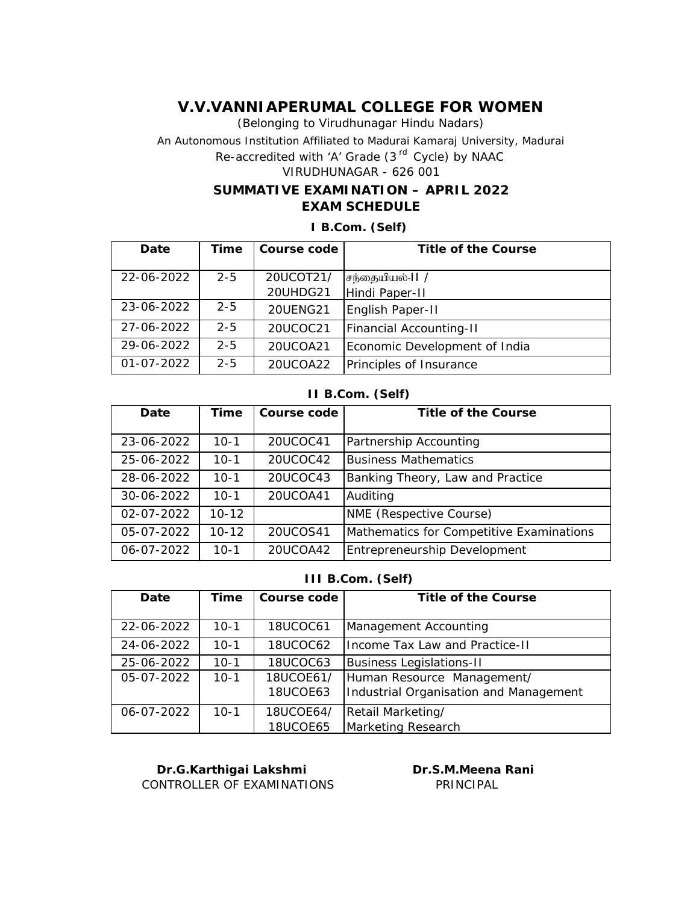(Belonging to Virudhunagar Hindu Nadars) An Autonomous Institution Affiliated to Madurai Kamaraj University, Madurai

*Re-accredited with 'A' Grade (3 rd Cycle) by NAAC*

# VIRUDHUNAGAR - 626 001

### **SUMMATIVE EXAMINATION – APRIL 2022 EXAM SCHEDULE**

**I B.Com. (Self)**

| Date       | Time    | Course code     | Title of the Course            |
|------------|---------|-----------------|--------------------------------|
|            |         |                 |                                |
| 22-06-2022 | $2 - 5$ | 20UCOT21/       | சந்தையியல்-11 /                |
|            |         | 20UHDG21        | Hindi Paper-II                 |
| 23-06-2022 | $2 - 5$ | <b>20UENG21</b> | English Paper-II               |
| 27-06-2022 | $2 - 5$ | 20UCOC21        | <b>Financial Accounting-II</b> |
| 29-06-2022 | $2 - 5$ | 20UCOA21        | Economic Development of India  |
| 01-07-2022 | $2 - 5$ | 20UCOA22        | Principles of Insurance        |

#### **II B.Com. (Self)**

| Date             | Time      | Course code | Title of the Course                      |
|------------------|-----------|-------------|------------------------------------------|
| 23-06-2022       | $10 - 1$  | 20UCOC41    | Partnership Accounting                   |
| 25-06-2022       | $10 - 1$  | 20UCOC42    | <b>Business Mathematics</b>              |
| 28-06-2022       | $10 - 1$  | 20UCOC43    | Banking Theory, Law and Practice         |
| 30-06-2022       | $10 - 1$  | 20UCOA41    | Auditing                                 |
| $02 - 07 - 2022$ | $10 - 12$ |             | NME (Respective Course)                  |
| 05-07-2022       | $10 - 12$ | 20UCOS41    | Mathematics for Competitive Examinations |
| 06-07-2022       | $10 - 1$  | 20UCOA42    | Entrepreneurship Development             |

**III B.Com. (Self)**

| Date       | Time     | Course code                  | Title of the Course                                                  |
|------------|----------|------------------------------|----------------------------------------------------------------------|
| 22-06-2022 | $10 - 1$ | <b>18UCOC61</b>              | Management Accounting                                                |
| 24-06-2022 | $10 - 1$ | 18UCOC62                     | Income Tax Law and Practice-II                                       |
| 25-06-2022 | $10 - 1$ | <b>18UCOC63</b>              | <b>Business Legislations-II</b>                                      |
| 05-07-2022 | $10-1$   | 18UCOE61/<br>18UCOE63        | Human Resource Management/<br>Industrial Organisation and Management |
| 06-07-2022 | $10-1$   | 18UCOE64/<br><b>18UCOE65</b> | Retail Marketing/<br>Marketing Research                              |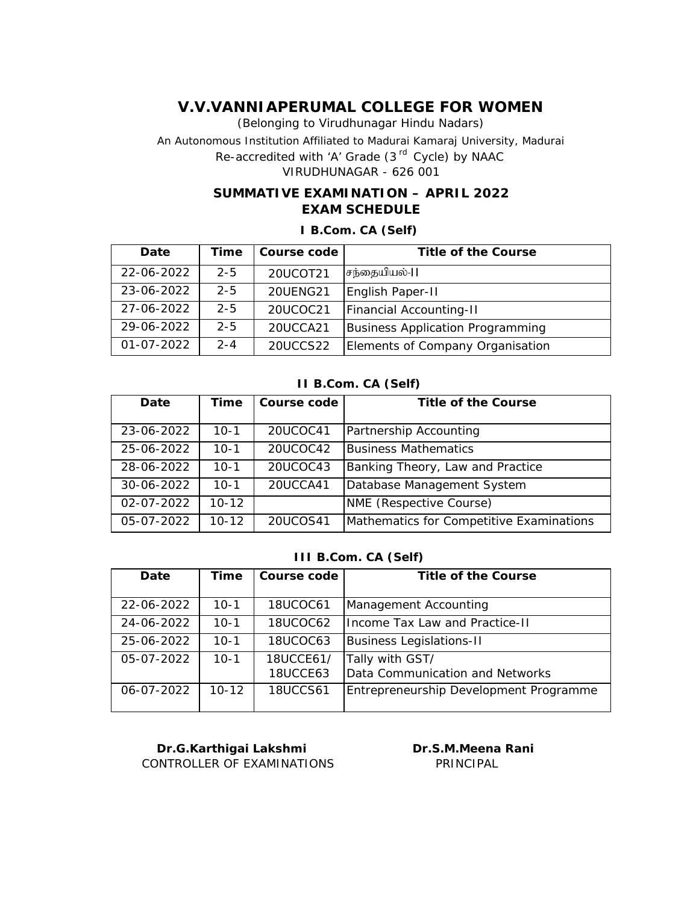(Belonging to Virudhunagar Hindu Nadars) An Autonomous Institution Affiliated to Madurai Kamaraj University, Madurai *Re-accredited with 'A' Grade (3 rd Cycle) by NAAC* VIRUDHUNAGAR - 626 001

## **SUMMATIVE EXAMINATION – APRIL 2022 EXAM SCHEDULE**

**I B.Com. CA (Self)**

| Date       | Time    | Course code     | Title of the Course              |
|------------|---------|-----------------|----------------------------------|
| 22-06-2022 | $2 - 5$ | 20UCOT21        | சந்தையியல்-II                    |
| 23-06-2022 | $2 - 5$ | <b>20UENG21</b> | English Paper-II                 |
| 27-06-2022 | $2 - 5$ | 20UCOC21        | <b>Financial Accounting-II</b>   |
| 29-06-2022 | $2 - 5$ | 20UCCA21        | Business Application Programming |
| 01-07-2022 | $2 - 4$ | 20UCCS22        | Elements of Company Organisation |

**II B.Com. CA (Self)**

| Date             | Time      | Course code | Title of the Course                      |
|------------------|-----------|-------------|------------------------------------------|
| 23-06-2022       | $10-1$    | 20UCOC41    | Partnership Accounting                   |
| 25-06-2022       | $10 - 1$  | 20UCOC42    | <b>Business Mathematics</b>              |
| 28-06-2022       | $10 - 1$  | 20UCOC43    | Banking Theory, Law and Practice         |
| 30-06-2022       | $10 - 1$  | 20UCCA41    | Database Management System               |
| $02 - 07 - 2022$ | $10 - 12$ |             | NME (Respective Course)                  |
| 05-07-2022       | $10 - 12$ | 20UCOS41    | Mathematics for Competitive Examinations |

#### **III B.Com. CA (Self)**

| Date       | Time      | Course code           | Title of the Course                                |
|------------|-----------|-----------------------|----------------------------------------------------|
| 22-06-2022 | $10 - 1$  | 18UCOC61              | Management Accounting                              |
| 24-06-2022 | $10 - 1$  | 18UCOC62              | Income Tax Law and Practice-II                     |
| 25-06-2022 | $10 - 1$  | <b>18UCOC63</b>       | <b>Business Legislations-II</b>                    |
| 05-07-2022 | $10 - 1$  | 18UCCE61/<br>18UCCE63 | Tally with GST/<br>Data Communication and Networks |
| 06-07-2022 | $10 - 12$ | <b>18UCCS61</b>       | Entrepreneurship Development Programme             |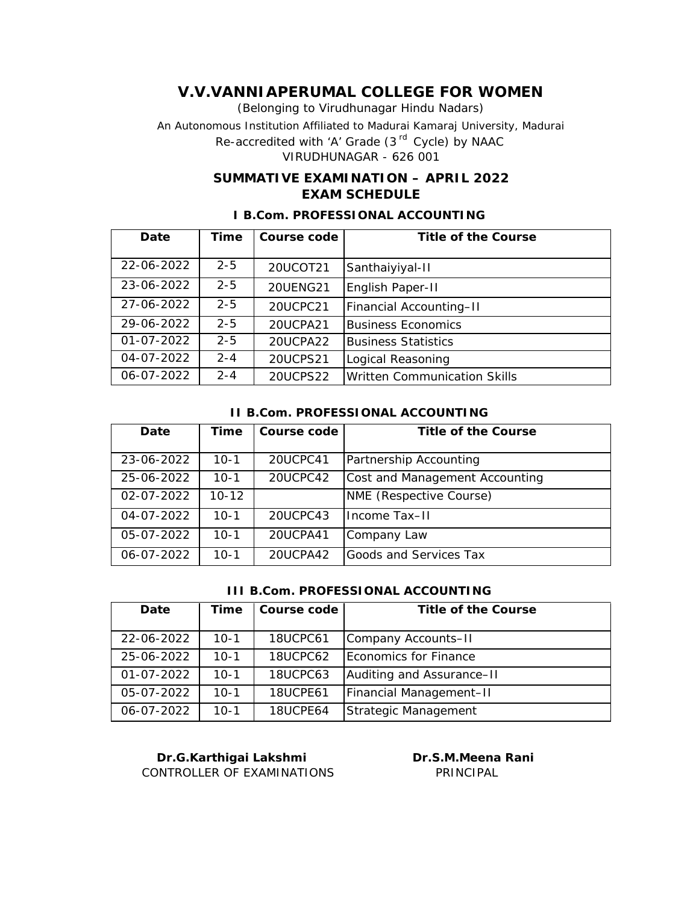(Belonging to Virudhunagar Hindu Nadars) An Autonomous Institution Affiliated to Madurai Kamaraj University, Madurai *Re-accredited with 'A' Grade (3 rd Cycle) by NAAC* VIRUDHUNAGAR - 626 001

## **SUMMATIVE EXAMINATION – APRIL 2022 EXAM SCHEDULE**

| Date             | Time    | Course code | Title of the Course                 |
|------------------|---------|-------------|-------------------------------------|
|                  |         |             |                                     |
|                  |         |             |                                     |
| 22-06-2022       | $2 - 5$ | 20UCOT21    | Santhaiyiyal-II                     |
|                  |         |             |                                     |
| 23-06-2022       | $2 - 5$ | 20UENG21    |                                     |
|                  |         |             | English Paper-II                    |
| 27-06-2022       | $2 - 5$ |             |                                     |
|                  |         | 20UCPC21    | Financial Accounting-II             |
| 29-06-2022       | $2 - 5$ | 20UCPA21    | <b>Business Economics</b>           |
|                  |         |             |                                     |
| $01 - 07 - 2022$ | $2 - 5$ | 20UCPA22    | <b>Business Statistics</b>          |
|                  |         |             |                                     |
| 04-07-2022       | $2 - 4$ | 20UCPS21    | Logical Reasoning                   |
|                  |         |             |                                     |
| 06-07-2022       | $2 - 4$ | 20UCPS22    | <b>Written Communication Skills</b> |
|                  |         |             |                                     |

## **I B.Com. PROFESSIONAL ACCOUNTING**

#### **II B.Com. PROFESSIONAL ACCOUNTING**

| Date             | Time      | Course code | Title of the Course            |
|------------------|-----------|-------------|--------------------------------|
| 23-06-2022       | $10 - 1$  | 20UCPC41    | Partnership Accounting         |
| 25-06-2022       | $10 - 1$  | 20UCPC42    | Cost and Management Accounting |
| $02 - 07 - 2022$ | $10 - 12$ |             | NME (Respective Course)        |
| 04-07-2022       | $10 - 1$  | 20UCPC43    | Income Tax-II                  |
| 05-07-2022       | $10 - 1$  | 20UCPA41    | Company Law                    |
| 06-07-2022       | $10-1$    | 20UCPA42    | Goods and Services Tax         |

### **III B.Com. PROFESSIONAL ACCOUNTING**

| Date             | Time   | Course code     | Title of the Course       |
|------------------|--------|-----------------|---------------------------|
|                  |        |                 |                           |
| 22-06-2022       | $10-1$ | 18UCPC61        | Company Accounts-II       |
| 25-06-2022       | $10-1$ | 18UCPC62        | Economics for Finance     |
| $01 - 07 - 2022$ | $10-1$ | 18UCPC63        | Auditing and Assurance-II |
| 05-07-2022       | $10-1$ | <b>18UCPE61</b> | Financial Management-II   |
| 06-07-2022       | $10-1$ | 18UCPE64        | Strategic Management      |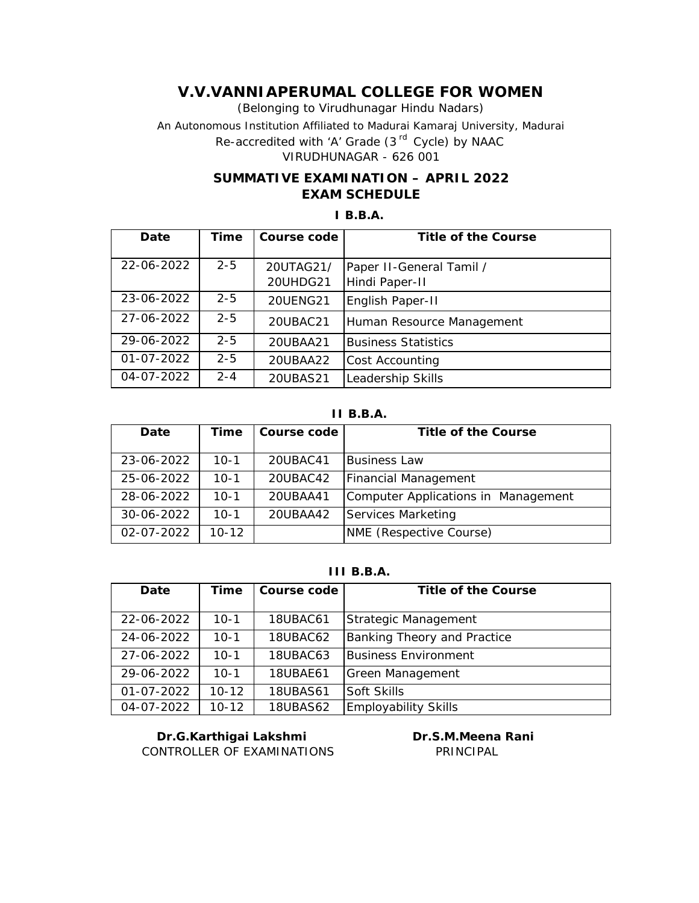(Belonging to Virudhunagar Hindu Nadars) An Autonomous Institution Affiliated to Madurai Kamaraj University, Madurai *Re-accredited with 'A' Grade (3 rd Cycle) by NAAC* VIRUDHUNAGAR - 626 001

## **SUMMATIVE EXAMINATION – APRIL 2022 EXAM SCHEDULE**

## **I B.B.A.**

| Date       | Time    | Course code           | Title of the Course                        |
|------------|---------|-----------------------|--------------------------------------------|
| 22-06-2022 | $2 - 5$ | 20UTAG21/<br>20UHDG21 | Paper II-General Tamil /<br>Hindi Paper-II |
| 23-06-2022 | $2 - 5$ | 20UENG21              | English Paper-II                           |
| 27-06-2022 | $2 - 5$ | 20UBAC21              | Human Resource Management                  |
| 29-06-2022 | $2 - 5$ | 20UBAA21              | <b>Business Statistics</b>                 |
| 01-07-2022 | $2 - 5$ | 20UBAA22              | <b>Cost Accounting</b>                     |
| 04-07-2022 | $2 - 4$ | 20UBAS21              | Leadership Skills                          |

**II B.B.A.**

| Date             | Time      | Course code | Title of the Course                 |
|------------------|-----------|-------------|-------------------------------------|
|                  |           |             |                                     |
| 23-06-2022       | $10-1$    | 20UBAC41    | <b>Business Law</b>                 |
| 25-06-2022       | $10-1$    | 20UBAC42    | <b>Financial Management</b>         |
| 28-06-2022       | $10-1$    | 20UBAA41    | Computer Applications in Management |
| 30-06-2022       | $10 - 1$  | 20UBAA42    | Services Marketing                  |
| $02 - 07 - 2022$ | $10 - 12$ |             | <b>NME</b> (Respective Course)      |

## **III B.B.A.**

| Date             | Time      | Course code     | Title of the Course                |
|------------------|-----------|-----------------|------------------------------------|
| 22-06-2022       | $10 - 1$  | 18UBAC61        | Strategic Management               |
| 24-06-2022       | $10-1$    | 18UBAC62        | <b>Banking Theory and Practice</b> |
| 27-06-2022       | $10 - 1$  | 18UBAC63        | <b>Business Environment</b>        |
| 29-06-2022       | $10 - 1$  | 18UBAE61        | Green Management                   |
| $01 - 07 - 2022$ | $10 - 12$ | <b>18UBAS61</b> | Soft Skills                        |
| 04-07-2022       | $10 - 12$ | <b>18UBAS62</b> | <b>Employability Skills</b>        |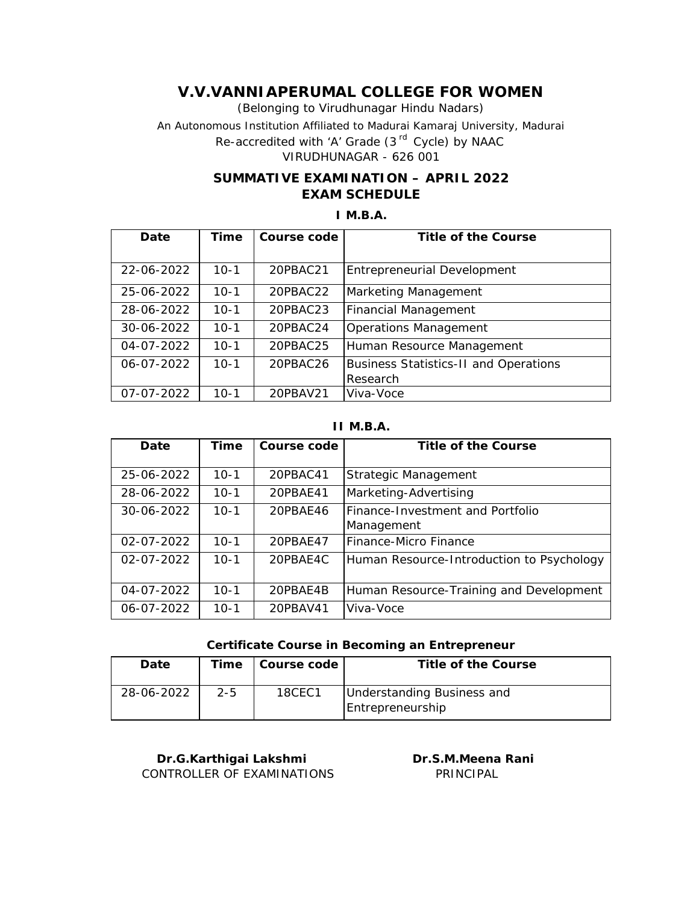(Belonging to Virudhunagar Hindu Nadars) An Autonomous Institution Affiliated to Madurai Kamaraj University, Madurai *Re-accredited with 'A' Grade (3 rd Cycle) by NAAC* VIRUDHUNAGAR - 626 001

## **SUMMATIVE EXAMINATION – APRIL 2022 EXAM SCHEDULE**

## **I M.B.A.**

| Date       | Time     | Course code | Title of the Course                          |
|------------|----------|-------------|----------------------------------------------|
|            |          |             |                                              |
| 22-06-2022 | $10-1$   | 20PBAC21    | Entrepreneurial Development                  |
| 25-06-2022 | $10 - 1$ | 20PBAC22    | Marketing Management                         |
| 28-06-2022 | $10 - 1$ | 20PBAC23    | Financial Management                         |
| 30-06-2022 | $10 - 1$ | 20PBAC24    | Operations Management                        |
| 04-07-2022 | $10 - 1$ | 20PBAC25    | Human Resource Management                    |
| 06-07-2022 | $10 - 1$ | 20PBAC26    | <b>Business Statistics-II and Operations</b> |
|            |          |             | Research                                     |
| 07-07-2022 | $10 - 1$ | 20PBAV21    | Viva-Voce                                    |

### **II M.B.A.**

| Date             | Time     | Course code | Title of the Course                       |
|------------------|----------|-------------|-------------------------------------------|
| 25-06-2022       | $10-1$   | 20PBAC41    | Strategic Management                      |
| 28-06-2022       | $10 - 1$ | 20PBAE41    | Marketing-Advertising                     |
| 30-06-2022       | $10 - 1$ | 20PBAE46    | Finance-Investment and Portfolio          |
|                  |          |             | Management                                |
| 02-07-2022       | $10-1$   | 20PBAF47    | Finance-Micro Finance                     |
| $02 - 07 - 2022$ | $10 - 1$ | 20PBAE4C    | Human Resource-Introduction to Psychology |
|                  |          |             |                                           |
| 04-07-2022       | $10-1$   | 20PBAE4B    | Human Resource-Training and Development   |
| 06-07-2022       | $10 - 1$ | 20PBAV41    | Viva-Voce                                 |

#### **Certificate Course in Becoming an Entrepreneur**

| Date       | Time    | l Course code | Title of the Course                            |
|------------|---------|---------------|------------------------------------------------|
| 28-06-2022 | $2 - 5$ | 18CEC1        | Understanding Business and<br>Entrepreneurship |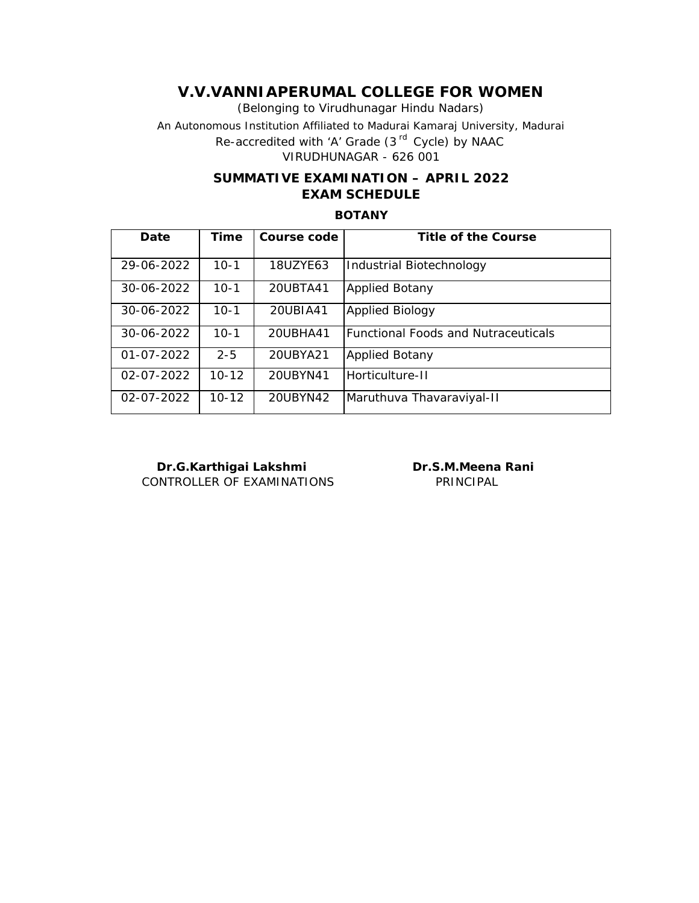(Belonging to Virudhunagar Hindu Nadars) An Autonomous Institution Affiliated to Madurai Kamaraj University, Madurai *Re-accredited with 'A' Grade (3 rd Cycle) by NAAC* VIRUDHUNAGAR - 626 001

## **SUMMATIVE EXAMINATION – APRIL 2022 EXAM SCHEDULE**

### **BOTANY**

| Date             | Time      | Course code | Title of the Course                        |
|------------------|-----------|-------------|--------------------------------------------|
| 29-06-2022       | $10-1$    | 18UZYE63    | Industrial Biotechnology                   |
| 30-06-2022       | $10-1$    | 20UBTA41    | <b>Applied Botany</b>                      |
| 30-06-2022       | $10-1$    | 20UBIA41    | <b>Applied Biology</b>                     |
| 30-06-2022       | $10-1$    | 20UBHA41    | <b>Functional Foods and Nutraceuticals</b> |
| $01 - 07 - 2022$ | $2 - 5$   | 20UBYA21    | <b>Applied Botany</b>                      |
| $02 - 07 - 2022$ | $10 - 12$ | 20UBYN41    | Horticulture-II                            |
| 02-07-2022       | $10 - 12$ | 20UBYN42    | Maruthuva Thavaraviyal-II                  |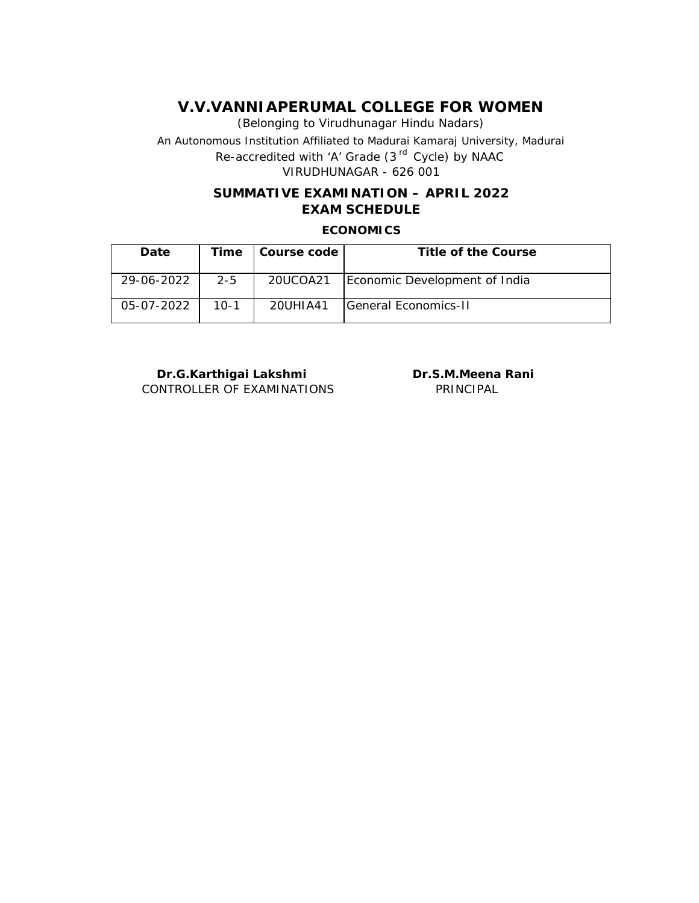(Belonging to Virudhunagar Hindu Nadars) An Autonomous Institution Affiliated to Madurai Kamaraj University, Madurai *Re-accredited with 'A' Grade (3 rd Cycle) by NAAC* VIRUDHUNAGAR - 626 001

# **SUMMATIVE EXAMINATION – APRIL 2022 EXAM SCHEDULE**

**ECONOMICS**

| Date       | Time    | l Course code | Title of the Course           |
|------------|---------|---------------|-------------------------------|
| 29-06-2022 | $2 - 5$ | 20UCOA21      | Economic Development of India |
| 05-07-2022 | $10-1$  | 20UHIA41      | <b>IGeneral Economics-II</b>  |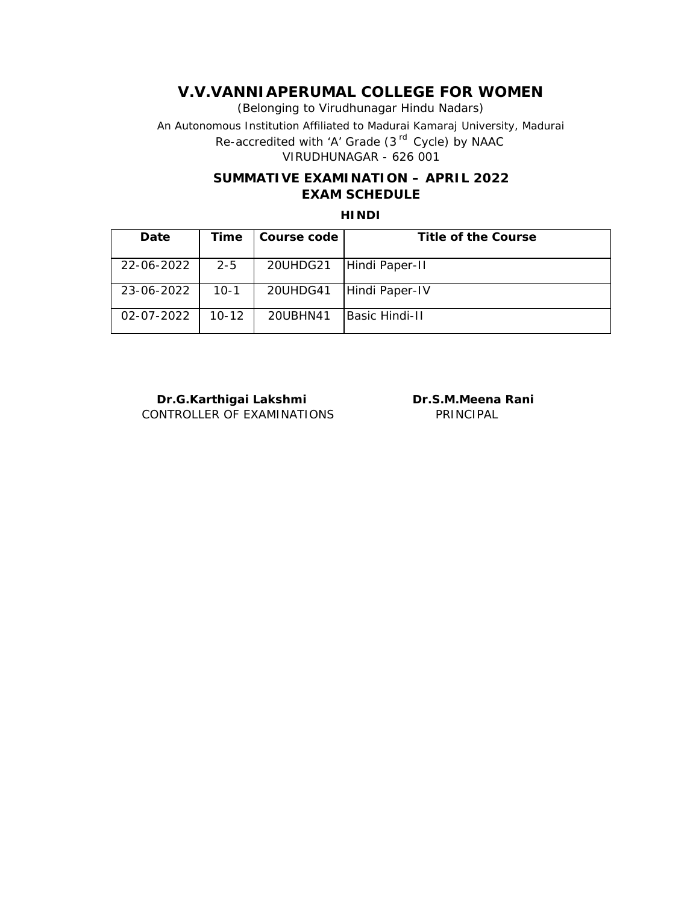(Belonging to Virudhunagar Hindu Nadars) An Autonomous Institution Affiliated to Madurai Kamaraj University, Madurai *Re-accredited with 'A' Grade (3 rd Cycle) by NAAC* VIRUDHUNAGAR - 626 001

## **SUMMATIVE EXAMINATION – APRIL 2022 EXAM SCHEDULE**

### **HINDI**

| Date             | Time      | Course code | Title of the Course |
|------------------|-----------|-------------|---------------------|
| 22-06-2022       | $2 - 5$   | 20UHDG21    | Hindi Paper-II      |
| 23-06-2022       | 10-1      | 20UHDG41    | Hindi Paper-IV      |
| $02 - 07 - 2022$ | $10 - 12$ | 20UBHN41    | Basic Hindi-II      |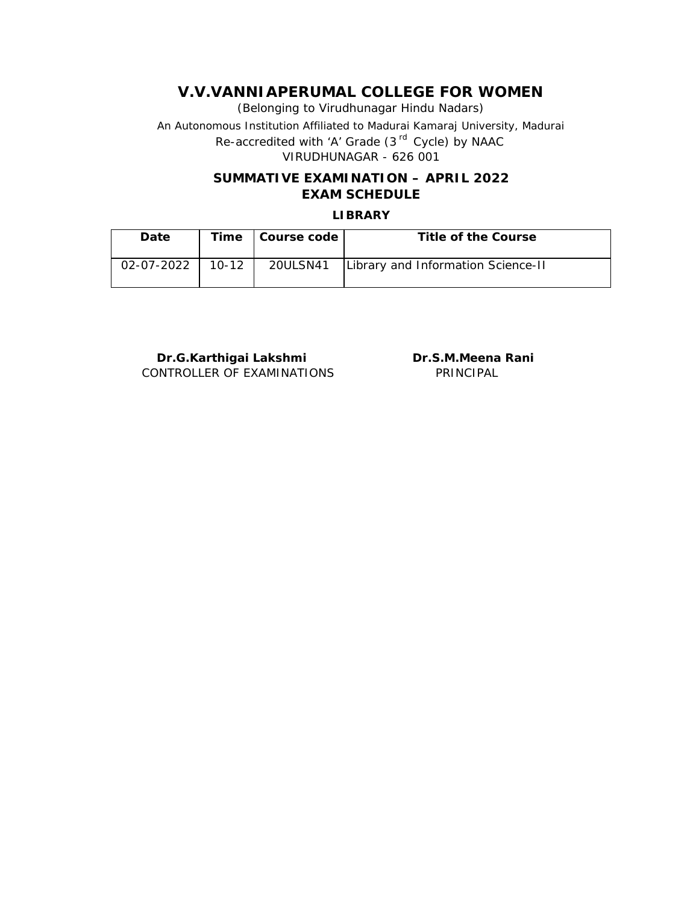(Belonging to Virudhunagar Hindu Nadars) An Autonomous Institution Affiliated to Madurai Kamaraj University, Madurai *Re-accredited with 'A' Grade (3 rd Cycle) by NAAC* VIRUDHUNAGAR - 626 001

## **SUMMATIVE EXAMINATION – APRIL 2022 EXAM SCHEDULE**

### **LIBRARY**

| Date       |           | Time   Course code | Title of the Course                           |
|------------|-----------|--------------------|-----------------------------------------------|
| 02-07-2022 | $10 - 12$ |                    | 20ULSN41   Library and Information Science-II |